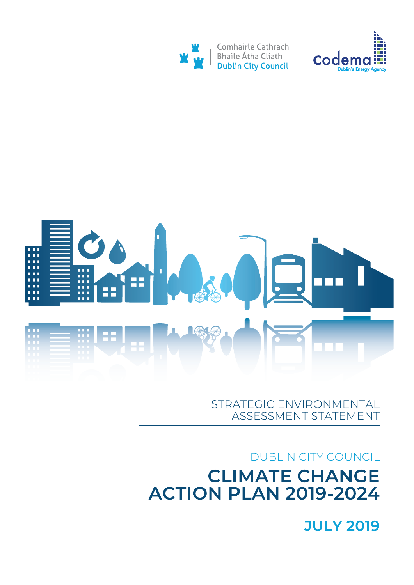# **JULY 2019**

# **DUBLIN CITY COUNCIL CLIMATE CHANGE ACTION PLAN 2019-2024**

## STRATEGIC ENVIRONMENTAL ASSESSMENT STATEMENT





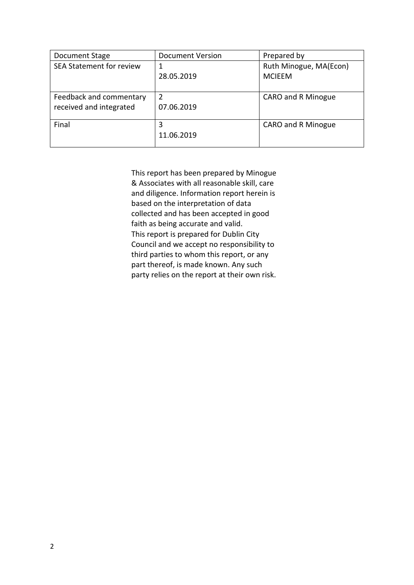| Document Stage                                     | <b>Document Version</b> | Prepared by                             |
|----------------------------------------------------|-------------------------|-----------------------------------------|
| <b>SEA Statement for review</b>                    | 1<br>28.05.2019         | Ruth Minogue, MA(Econ)<br><b>MCIEEM</b> |
| Feedback and commentary<br>received and integrated | 2<br>07.06.2019         | <b>CARO and R Minogue</b>               |
| Final                                              | 3<br>11.06.2019         | CARO and R Minogue                      |

This report has been prepared by Minogue & Associates with all reasonable skill, care and diligence. Information report herein is based on the interpretation of data collected and has been accepted in good faith as being accurate and valid. This report is prepared for Dublin City Council and we accept no responsibility to third parties to whom this report, or any part thereof, is made known. Any such party relies on the report at their own risk.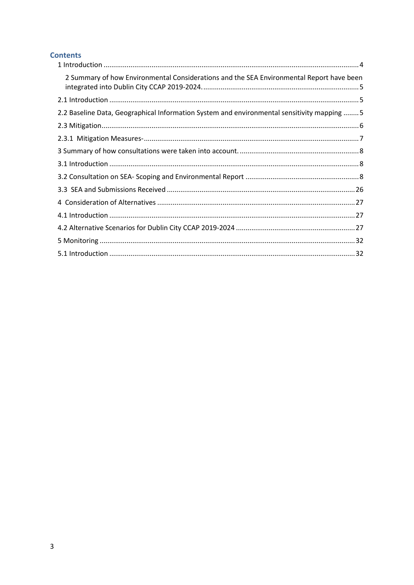## **Contents**

| 2 Summary of how Environmental Considerations and the SEA Environmental Report have been    |
|---------------------------------------------------------------------------------------------|
|                                                                                             |
| 2.2 Baseline Data, Geographical Information System and environmental sensitivity mapping  5 |
|                                                                                             |
|                                                                                             |
|                                                                                             |
|                                                                                             |
|                                                                                             |
|                                                                                             |
|                                                                                             |
|                                                                                             |
|                                                                                             |
|                                                                                             |
|                                                                                             |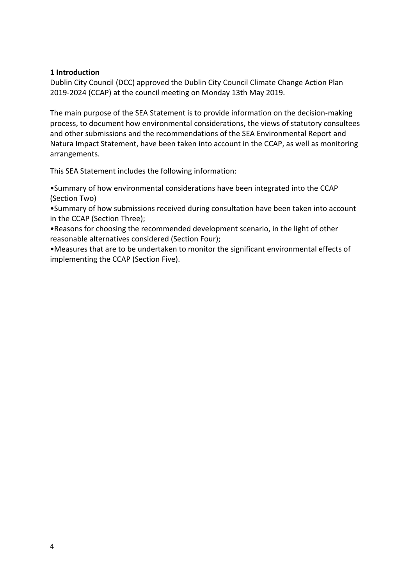## **1 Introduction**

Dublin City Council (DCC) approved the Dublin City Council Climate Change Action Plan 2019-2024 (CCAP) at the council meeting on Monday 13th May 2019.

The main purpose of the SEA Statement is to provide information on the decision-making process, to document how environmental considerations, the views of statutory consultees and other submissions and the recommendations of the SEA Environmental Report and Natura Impact Statement, have been taken into account in the CCAP, as well as monitoring arrangements.

This SEA Statement includes the following information:

•Summary of how environmental considerations have been integrated into the CCAP (Section Two)

•Summary of how submissions received during consultation have been taken into account in the CCAP (Section Three);

•Reasons for choosing the recommended development scenario, in the light of other reasonable alternatives considered (Section Four);

•Measures that are to be undertaken to monitor the significant environmental effects of implementing the CCAP (Section Five).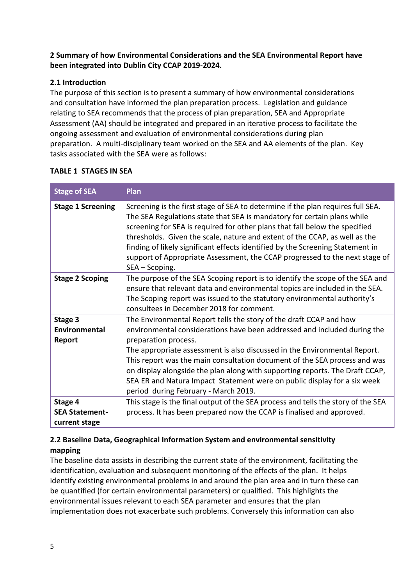## **2 Summary of how Environmental Considerations and the SEA Environmental Report have been integrated into Dublin City CCAP 2019-2024.**

## **2.1 Introduction**

The purpose of this section is to present a summary of how environmental considerations and consultation have informed the plan preparation process. Legislation and guidance relating to SEA recommends that the process of plan preparation, SEA and Appropriate Assessment (AA) should be integrated and prepared in an iterative process to facilitate the ongoing assessment and evaluation of environmental considerations during plan preparation. A multi-disciplinary team worked on the SEA and AA elements of the plan. Key tasks associated with the SEA were as follows:

| <b>Stage of SEA</b>                               | Plan                                                                                                                                                                                                                                                                                                                                                                                                                                                                                                                                 |
|---------------------------------------------------|--------------------------------------------------------------------------------------------------------------------------------------------------------------------------------------------------------------------------------------------------------------------------------------------------------------------------------------------------------------------------------------------------------------------------------------------------------------------------------------------------------------------------------------|
| <b>Stage 1 Screening</b>                          | Screening is the first stage of SEA to determine if the plan requires full SEA.<br>The SEA Regulations state that SEA is mandatory for certain plans while<br>screening for SEA is required for other plans that fall below the specified<br>thresholds. Given the scale, nature and extent of the CCAP, as well as the<br>finding of likely significant effects identified by the Screening Statement in<br>support of Appropriate Assessment, the CCAP progressed to the next stage of<br>SEA – Scoping.                           |
| <b>Stage 2 Scoping</b>                            | The purpose of the SEA Scoping report is to identify the scope of the SEA and<br>ensure that relevant data and environmental topics are included in the SEA.<br>The Scoping report was issued to the statutory environmental authority's<br>consultees in December 2018 for comment.                                                                                                                                                                                                                                                 |
| Stage 3<br>Environmental<br>Report                | The Environmental Report tells the story of the draft CCAP and how<br>environmental considerations have been addressed and included during the<br>preparation process.<br>The appropriate assessment is also discussed in the Environmental Report.<br>This report was the main consultation document of the SEA process and was<br>on display alongside the plan along with supporting reports. The Draft CCAP,<br>SEA ER and Natura Impact Statement were on public display for a six week<br>period during February - March 2019. |
| Stage 4<br><b>SEA Statement-</b><br>current stage | This stage is the final output of the SEA process and tells the story of the SEA<br>process. It has been prepared now the CCAP is finalised and approved.                                                                                                                                                                                                                                                                                                                                                                            |

## **TABLE 1 STAGES IN SEA**

## **2.2 Baseline Data, Geographical Information System and environmental sensitivity mapping**

The baseline data assists in describing the current state of the environment, facilitating the identification, evaluation and subsequent monitoring of the effects of the plan. It helps identify existing environmental problems in and around the plan area and in turn these can be quantified (for certain environmental parameters) or qualified. This highlights the environmental issues relevant to each SEA parameter and ensures that the plan implementation does not exacerbate such problems. Conversely this information can also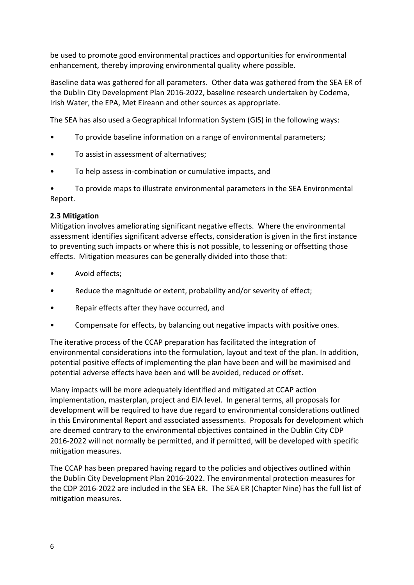be used to promote good environmental practices and opportunities for environmental enhancement, thereby improving environmental quality where possible.

Baseline data was gathered for all parameters. Other data was gathered from the SEA ER of the Dublin City Development Plan 2016-2022, baseline research undertaken by Codema, Irish Water, the EPA, Met Eireann and other sources as appropriate.

The SEA has also used a Geographical Information System (GIS) in the following ways:

- To provide baseline information on a range of environmental parameters;
- To assist in assessment of alternatives;
- To help assess in-combination or cumulative impacts, and

• To provide maps to illustrate environmental parameters in the SEA Environmental Report.

## **2.3 Mitigation**

Mitigation involves ameliorating significant negative effects. Where the environmental assessment identifies significant adverse effects, consideration is given in the first instance to preventing such impacts or where this is not possible, to lessening or offsetting those effects. Mitigation measures can be generally divided into those that:

- Avoid effects;
- Reduce the magnitude or extent, probability and/or severity of effect;
- Repair effects after they have occurred, and
- Compensate for effects, by balancing out negative impacts with positive ones.

The iterative process of the CCAP preparation has facilitated the integration of environmental considerations into the formulation, layout and text of the plan. In addition, potential positive effects of implementing the plan have been and will be maximised and potential adverse effects have been and will be avoided, reduced or offset.

Many impacts will be more adequately identified and mitigated at CCAP action implementation, masterplan, project and EIA level. In general terms, all proposals for development will be required to have due regard to environmental considerations outlined in this Environmental Report and associated assessments. Proposals for development which are deemed contrary to the environmental objectives contained in the Dublin City CDP 2016-2022 will not normally be permitted, and if permitted, will be developed with specific mitigation measures.

The CCAP has been prepared having regard to the policies and objectives outlined within the Dublin City Development Plan 2016-2022. The environmental protection measures for the CDP 2016-2022 are included in the SEA ER. The SEA ER (Chapter Nine) has the full list of mitigation measures.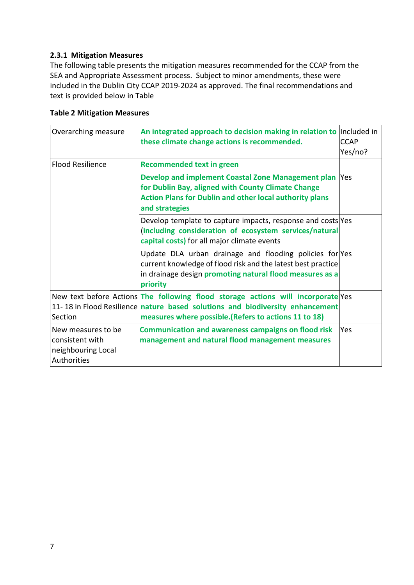## **2.3.1 Mitigation Measures**

The following table presents the mitigation measures recommended for the CCAP from the SEA and Appropriate Assessment process. Subject to minor amendments, these were included in the Dublin City CCAP 2019-2024 as approved. The final recommendations and text is provided below in Table

## **Table 2 Mitigation Measures**

| Overarching measure                                                        | An integrated approach to decision making in relation to<br>these climate change actions is recommended.                                                                                                                   | Included in<br><b>CCAP</b><br>Yes/no? |
|----------------------------------------------------------------------------|----------------------------------------------------------------------------------------------------------------------------------------------------------------------------------------------------------------------------|---------------------------------------|
| <b>Flood Resilience</b>                                                    | <b>Recommended text in green</b>                                                                                                                                                                                           |                                       |
|                                                                            | Develop and implement Coastal Zone Management plan<br>for Dublin Bay, aligned with County Climate Change<br><b>Action Plans for Dublin and other local authority plans</b><br>and strategies                               | <b>Yes</b>                            |
|                                                                            | Develop template to capture impacts, response and costs Yes<br>(including consideration of ecosystem services/natural<br>capital costs) for all major climate events                                                       |                                       |
|                                                                            | Update DLA urban drainage and flooding policies for Yes<br>current knowledge of flood risk and the latest best practice<br>in drainage design promoting natural flood measures as a<br>priority                            |                                       |
| Section                                                                    | New text before Actions The following flood storage actions will incorporate Yes<br>11-18 in Flood Resilience nature based solutions and biodiversity enhancement<br>measures where possible. (Refers to actions 11 to 18) |                                       |
| New measures to be<br>consistent with<br>neighbouring Local<br>Authorities | <b>Communication and awareness campaigns on flood risk</b><br>management and natural flood management measures                                                                                                             | <b>Yes</b>                            |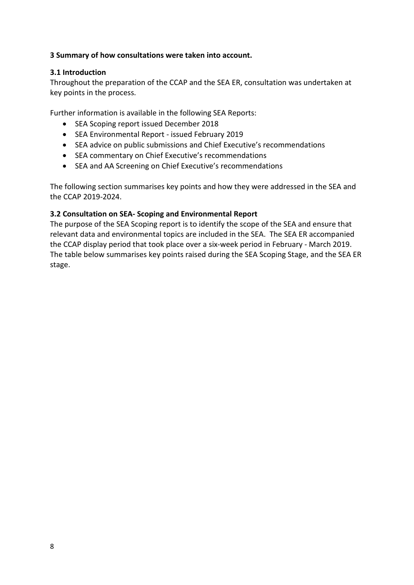## **3 Summary of how consultations were taken into account.**

## **3.1 Introduction**

Throughout the preparation of the CCAP and the SEA ER, consultation was undertaken at key points in the process.

Further information is available in the following SEA Reports:

- SEA Scoping report issued December 2018
- SEA Environmental Report issued February 2019
- SEA advice on public submissions and Chief Executive's recommendations
- SEA commentary on Chief Executive's recommendations
- SEA and AA Screening on Chief Executive's recommendations

The following section summarises key points and how they were addressed in the SEA and the CCAP 2019-2024.

## **3.2 Consultation on SEA- Scoping and Environmental Report**

The purpose of the SEA Scoping report is to identify the scope of the SEA and ensure that relevant data and environmental topics are included in the SEA. The SEA ER accompanied the CCAP display period that took place over a six-week period in February - March 2019. The table below summarises key points raised during the SEA Scoping Stage, and the SEA ER stage.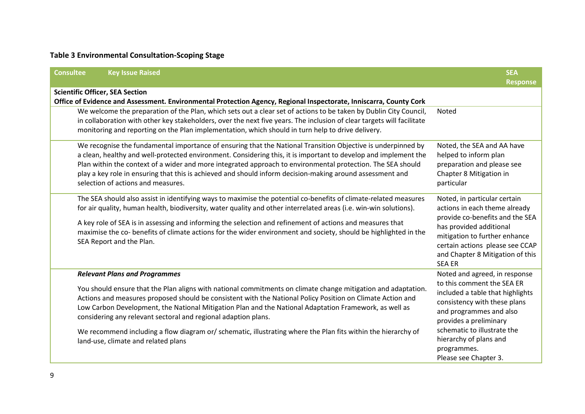## **Table 3 Environmental Consultation-Scoping Stage**

| <b>Consultee</b><br><b>Key Issue Raised</b>                                                                                                                                                                                                                                                                                                                                                                                                                                                                                                                                                             | <b>SEA</b><br><b>Response</b>                                                                                                                                                                                                                                                         |
|---------------------------------------------------------------------------------------------------------------------------------------------------------------------------------------------------------------------------------------------------------------------------------------------------------------------------------------------------------------------------------------------------------------------------------------------------------------------------------------------------------------------------------------------------------------------------------------------------------|---------------------------------------------------------------------------------------------------------------------------------------------------------------------------------------------------------------------------------------------------------------------------------------|
| <b>Scientific Officer, SEA Section</b><br>Office of Evidence and Assessment. Environmental Protection Agency, Regional Inspectorate, Inniscarra, County Cork                                                                                                                                                                                                                                                                                                                                                                                                                                            |                                                                                                                                                                                                                                                                                       |
| We welcome the preparation of the Plan, which sets out a clear set of actions to be taken by Dublin City Council,<br>in collaboration with other key stakeholders, over the next five years. The inclusion of clear targets will facilitate<br>monitoring and reporting on the Plan implementation, which should in turn help to drive delivery.                                                                                                                                                                                                                                                        | Noted                                                                                                                                                                                                                                                                                 |
| We recognise the fundamental importance of ensuring that the National Transition Objective is underpinned by<br>a clean, healthy and well-protected environment. Considering this, it is important to develop and implement the<br>Plan within the context of a wider and more integrated approach to environmental protection. The SEA should<br>play a key role in ensuring that this is achieved and should inform decision-making around assessment and<br>selection of actions and measures.                                                                                                       | Noted, the SEA and AA have<br>helped to inform plan<br>preparation and please see<br>Chapter 8 Mitigation in<br>particular                                                                                                                                                            |
| The SEA should also assist in identifying ways to maximise the potential co-benefits of climate-related measures<br>for air quality, human health, biodiversity, water quality and other interrelated areas (i.e. win-win solutions).<br>A key role of SEA is in assessing and informing the selection and refinement of actions and measures that<br>maximise the co- benefits of climate actions for the wider environment and society, should be highlighted in the<br>SEA Report and the Plan.                                                                                                      | Noted, in particular certain<br>actions in each theme already<br>provide co-benefits and the SEA<br>has provided additional<br>mitigation to further enhance<br>certain actions please see CCAP<br>and Chapter 8 Mitigation of this<br><b>SEA ER</b>                                  |
| <b>Relevant Plans and Programmes</b><br>You should ensure that the Plan aligns with national commitments on climate change mitigation and adaptation.<br>Actions and measures proposed should be consistent with the National Policy Position on Climate Action and<br>Low Carbon Development, the National Mitigation Plan and the National Adaptation Framework, as well as<br>considering any relevant sectoral and regional adaption plans.<br>We recommend including a flow diagram or/ schematic, illustrating where the Plan fits within the hierarchy of<br>land-use, climate and related plans | Noted and agreed, in response<br>to this comment the SEA ER<br>included a table that highlights<br>consistency with these plans<br>and programmes and also<br>provides a preliminary<br>schematic to illustrate the<br>hierarchy of plans and<br>programmes.<br>Please see Chapter 3. |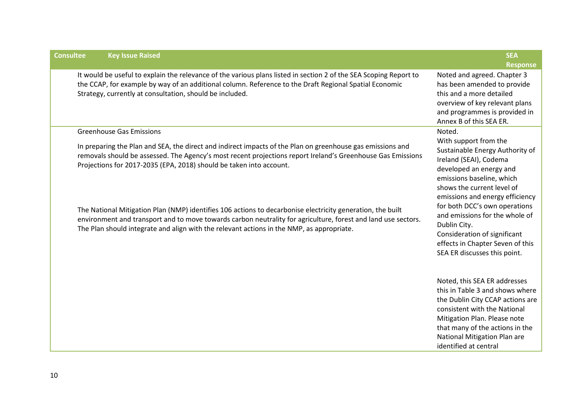| <b>Consultee</b> | <b>Key Issue Raised</b>                                                                                                                                                                                                                                                                                                             | <b>SEA</b><br><b>Response</b>                                                                                                                                                                                                                                   |
|------------------|-------------------------------------------------------------------------------------------------------------------------------------------------------------------------------------------------------------------------------------------------------------------------------------------------------------------------------------|-----------------------------------------------------------------------------------------------------------------------------------------------------------------------------------------------------------------------------------------------------------------|
|                  | It would be useful to explain the relevance of the various plans listed in section 2 of the SEA Scoping Report to<br>the CCAP, for example by way of an additional column. Reference to the Draft Regional Spatial Economic<br>Strategy, currently at consultation, should be included.                                             | Noted and agreed. Chapter 3<br>has been amended to provide<br>this and a more detailed<br>overview of key relevant plans<br>and programmes is provided in<br>Annex B of this SEA ER.                                                                            |
|                  | <b>Greenhouse Gas Emissions</b><br>In preparing the Plan and SEA, the direct and indirect impacts of the Plan on greenhouse gas emissions and<br>removals should be assessed. The Agency's most recent projections report Ireland's Greenhouse Gas Emissions<br>Projections for 2017-2035 (EPA, 2018) should be taken into account. | Noted.<br>With support from the<br>Sustainable Energy Authority of<br>Ireland (SEAI), Codema<br>developed an energy and<br>emissions baseline, which<br>shows the current level of<br>emissions and energy efficiency                                           |
|                  | The National Mitigation Plan (NMP) identifies 106 actions to decarbonise electricity generation, the built<br>environment and transport and to move towards carbon neutrality for agriculture, forest and land use sectors.<br>The Plan should integrate and align with the relevant actions in the NMP, as appropriate.            | for both DCC's own operations<br>and emissions for the whole of<br>Dublin City.<br>Consideration of significant<br>effects in Chapter Seven of this<br>SEA ER discusses this point.                                                                             |
|                  |                                                                                                                                                                                                                                                                                                                                     | Noted, this SEA ER addresses<br>this in Table 3 and shows where<br>the Dublin City CCAP actions are<br>consistent with the National<br>Mitigation Plan. Please note<br>that many of the actions in the<br>National Mitigation Plan are<br>identified at central |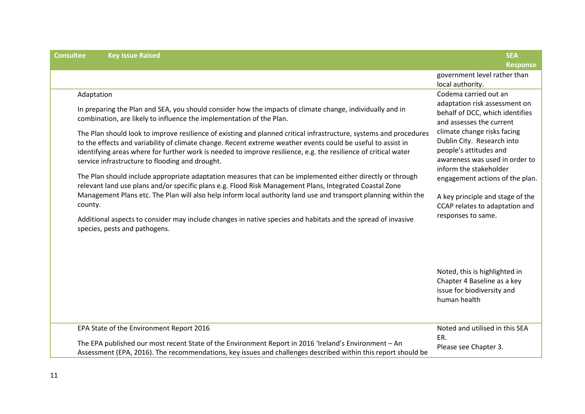| <b>Consultee</b><br><b>Key Issue Raised</b>                                                                                                                                                                                                                                                                                                                                                                                                                                                                                                                                                                                                                                                                                                                                                                                                                                                                                                             | <b>SEA</b>                                                                                                                                                                                                                                                                                                                                      |
|---------------------------------------------------------------------------------------------------------------------------------------------------------------------------------------------------------------------------------------------------------------------------------------------------------------------------------------------------------------------------------------------------------------------------------------------------------------------------------------------------------------------------------------------------------------------------------------------------------------------------------------------------------------------------------------------------------------------------------------------------------------------------------------------------------------------------------------------------------------------------------------------------------------------------------------------------------|-------------------------------------------------------------------------------------------------------------------------------------------------------------------------------------------------------------------------------------------------------------------------------------------------------------------------------------------------|
|                                                                                                                                                                                                                                                                                                                                                                                                                                                                                                                                                                                                                                                                                                                                                                                                                                                                                                                                                         | <b>Response</b><br>government level rather than<br>local authority.                                                                                                                                                                                                                                                                             |
| Adaptation<br>In preparing the Plan and SEA, you should consider how the impacts of climate change, individually and in<br>combination, are likely to influence the implementation of the Plan.<br>The Plan should look to improve resilience of existing and planned critical infrastructure, systems and procedures<br>to the effects and variability of climate change. Recent extreme weather events could be useful to assist in<br>identifying areas where for further work is needed to improve resilience, e.g. the resilience of critical water<br>service infrastructure to flooding and drought.<br>The Plan should include appropriate adaptation measures that can be implemented either directly or through<br>relevant land use plans and/or specific plans e.g. Flood Risk Management Plans, Integrated Coastal Zone<br>Management Plans etc. The Plan will also help inform local authority land use and transport planning within the | Codema carried out an<br>adaptation risk assessment on<br>behalf of DCC, which identifies<br>and assesses the current<br>climate change risks facing<br>Dublin City. Research into<br>people's attitudes and<br>awareness was used in order to<br>inform the stakeholder<br>engagement actions of the plan.<br>A key principle and stage of the |
| county.<br>Additional aspects to consider may include changes in native species and habitats and the spread of invasive<br>species, pests and pathogens.                                                                                                                                                                                                                                                                                                                                                                                                                                                                                                                                                                                                                                                                                                                                                                                                | CCAP relates to adaptation and<br>responses to same.<br>Noted, this is highlighted in                                                                                                                                                                                                                                                           |
|                                                                                                                                                                                                                                                                                                                                                                                                                                                                                                                                                                                                                                                                                                                                                                                                                                                                                                                                                         | Chapter 4 Baseline as a key<br>issue for biodiversity and<br>human health                                                                                                                                                                                                                                                                       |
| EPA State of the Environment Report 2016<br>The EPA published our most recent State of the Environment Report in 2016 'Ireland's Environment - An                                                                                                                                                                                                                                                                                                                                                                                                                                                                                                                                                                                                                                                                                                                                                                                                       | Noted and utilised in this SEA<br>ER.<br>Please see Chapter 3.                                                                                                                                                                                                                                                                                  |
| Assessment (EPA, 2016). The recommendations, key issues and challenges described within this report should be                                                                                                                                                                                                                                                                                                                                                                                                                                                                                                                                                                                                                                                                                                                                                                                                                                           |                                                                                                                                                                                                                                                                                                                                                 |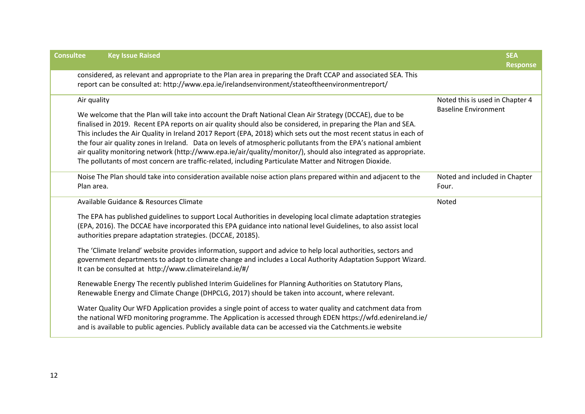| <b>Consultee</b><br><b>Key Issue Raised</b>                                                                                                                                                                                                                                                                                                                                                                                                                                                                                                                                                                                                                                                                    | <b>SEA</b>                                                     |
|----------------------------------------------------------------------------------------------------------------------------------------------------------------------------------------------------------------------------------------------------------------------------------------------------------------------------------------------------------------------------------------------------------------------------------------------------------------------------------------------------------------------------------------------------------------------------------------------------------------------------------------------------------------------------------------------------------------|----------------------------------------------------------------|
|                                                                                                                                                                                                                                                                                                                                                                                                                                                                                                                                                                                                                                                                                                                | <b>Response</b>                                                |
| considered, as relevant and appropriate to the Plan area in preparing the Draft CCAP and associated SEA. This<br>report can be consulted at: http://www.epa.ie/irelandsenvironment/stateoftheenvironmentreport/                                                                                                                                                                                                                                                                                                                                                                                                                                                                                                |                                                                |
| Air quality<br>We welcome that the Plan will take into account the Draft National Clean Air Strategy (DCCAE), due to be<br>finalised in 2019. Recent EPA reports on air quality should also be considered, in preparing the Plan and SEA.<br>This includes the Air Quality in Ireland 2017 Report (EPA, 2018) which sets out the most recent status in each of<br>the four air quality zones in Ireland. Data on levels of atmospheric pollutants from the EPA's national ambient<br>air quality monitoring network (http://www.epa.ie/air/quality/monitor/), should also integrated as appropriate.<br>The pollutants of most concern are traffic-related, including Particulate Matter and Nitrogen Dioxide. | Noted this is used in Chapter 4<br><b>Baseline Environment</b> |
| Noise The Plan should take into consideration available noise action plans prepared within and adjacent to the<br>Plan area.                                                                                                                                                                                                                                                                                                                                                                                                                                                                                                                                                                                   | Noted and included in Chapter<br>Four.                         |
| Available Guidance & Resources Climate                                                                                                                                                                                                                                                                                                                                                                                                                                                                                                                                                                                                                                                                         | Noted                                                          |
| The EPA has published guidelines to support Local Authorities in developing local climate adaptation strategies<br>(EPA, 2016). The DCCAE have incorporated this EPA guidance into national level Guidelines, to also assist local<br>authorities prepare adaptation strategies. (DCCAE, 20185).                                                                                                                                                                                                                                                                                                                                                                                                               |                                                                |
| The 'Climate Ireland' website provides information, support and advice to help local authorities, sectors and<br>government departments to adapt to climate change and includes a Local Authority Adaptation Support Wizard.<br>It can be consulted at http://www.climateireland.ie/#/                                                                                                                                                                                                                                                                                                                                                                                                                         |                                                                |
| Renewable Energy The recently published Interim Guidelines for Planning Authorities on Statutory Plans,<br>Renewable Energy and Climate Change (DHPCLG, 2017) should be taken into account, where relevant.                                                                                                                                                                                                                                                                                                                                                                                                                                                                                                    |                                                                |
| Water Quality Our WFD Application provides a single point of access to water quality and catchment data from<br>the national WFD monitoring programme. The Application is accessed through EDEN https://wfd.edenireland.ie/<br>and is available to public agencies. Publicly available data can be accessed via the Catchments.ie website                                                                                                                                                                                                                                                                                                                                                                      |                                                                |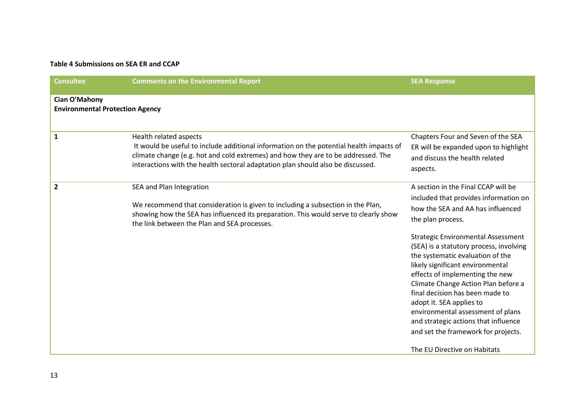### **Table 4 Submissions on SEA ER and CCAP**

| <b>Consultee</b>                                               | <b>Comments on the Environmental Report</b>                                                                                                                                                                                                                                               | <b>SEA Response</b>                                                                                                                                                                                                                                                                                                                                                                                                                                                                                                                                                 |
|----------------------------------------------------------------|-------------------------------------------------------------------------------------------------------------------------------------------------------------------------------------------------------------------------------------------------------------------------------------------|---------------------------------------------------------------------------------------------------------------------------------------------------------------------------------------------------------------------------------------------------------------------------------------------------------------------------------------------------------------------------------------------------------------------------------------------------------------------------------------------------------------------------------------------------------------------|
| <b>Cian O'Mahony</b><br><b>Environmental Protection Agency</b> |                                                                                                                                                                                                                                                                                           |                                                                                                                                                                                                                                                                                                                                                                                                                                                                                                                                                                     |
| $\mathbf{1}$                                                   | Health related aspects<br>It would be useful to include additional information on the potential health impacts of<br>climate change (e.g. hot and cold extremes) and how they are to be addressed. The<br>interactions with the health sectoral adaptation plan should also be discussed. | Chapters Four and Seven of the SEA<br>ER will be expanded upon to highlight<br>and discuss the health related<br>aspects.                                                                                                                                                                                                                                                                                                                                                                                                                                           |
| $\overline{2}$                                                 | SEA and Plan Integration<br>We recommend that consideration is given to including a subsection in the Plan,<br>showing how the SEA has influenced its preparation. This would serve to clearly show<br>the link between the Plan and SEA processes.                                       | A section in the Final CCAP will be<br>included that provides information on<br>how the SEA and AA has influenced<br>the plan process.<br><b>Strategic Environmental Assessment</b><br>(SEA) is a statutory process, involving<br>the systematic evaluation of the<br>likely significant environmental<br>effects of implementing the new<br>Climate Change Action Plan before a<br>final decision has been made to<br>adopt it. SEA applies to<br>environmental assessment of plans<br>and strategic actions that influence<br>and set the framework for projects. |
|                                                                |                                                                                                                                                                                                                                                                                           | The EU Directive on Habitats                                                                                                                                                                                                                                                                                                                                                                                                                                                                                                                                        |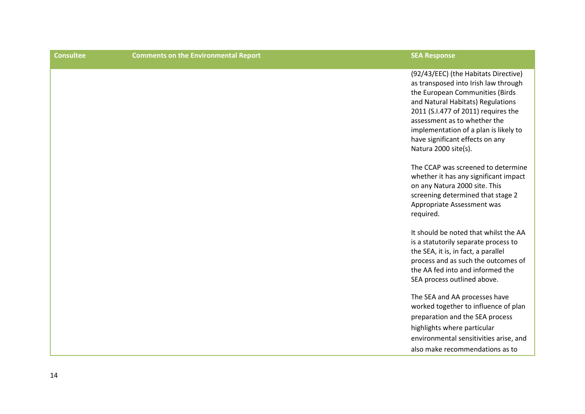| <b>Comments on the Environmental Report</b> | <b>SEA Response</b>                                                                                                                                                                                                                                                                                                             |
|---------------------------------------------|---------------------------------------------------------------------------------------------------------------------------------------------------------------------------------------------------------------------------------------------------------------------------------------------------------------------------------|
|                                             | (92/43/EEC) (the Habitats Directive)<br>as transposed into Irish law through<br>the European Communities (Birds<br>and Natural Habitats) Regulations<br>2011 (S.I.477 of 2011) requires the<br>assessment as to whether the<br>implementation of a plan is likely to<br>have significant effects on any<br>Natura 2000 site(s). |
|                                             | The CCAP was screened to determine<br>whether it has any significant impact<br>on any Natura 2000 site. This<br>screening determined that stage 2<br>Appropriate Assessment was<br>required.                                                                                                                                    |
|                                             | It should be noted that whilst the AA<br>is a statutorily separate process to<br>the SEA, it is, in fact, a parallel<br>process and as such the outcomes of<br>the AA fed into and informed the<br>SEA process outlined above.                                                                                                  |
|                                             | The SEA and AA processes have<br>worked together to influence of plan<br>preparation and the SEA process<br>highlights where particular<br>environmental sensitivities arise, and<br>also make recommendations as to                                                                                                            |
|                                             |                                                                                                                                                                                                                                                                                                                                 |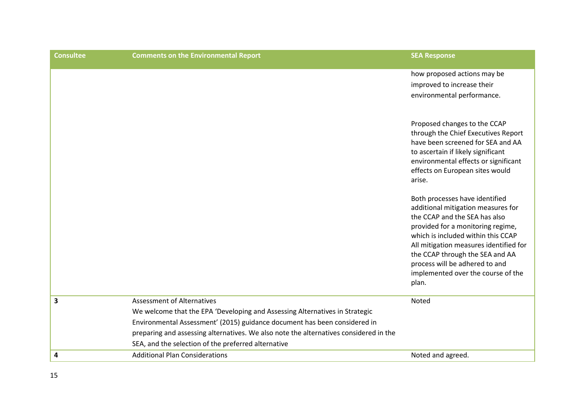| <b>Consultee</b> | <b>Comments on the Environmental Report</b>                                                                                                                                                                                                                                                                                                   | <b>SEA Response</b>                                                                                                                                                                                                                                                                                                                            |
|------------------|-----------------------------------------------------------------------------------------------------------------------------------------------------------------------------------------------------------------------------------------------------------------------------------------------------------------------------------------------|------------------------------------------------------------------------------------------------------------------------------------------------------------------------------------------------------------------------------------------------------------------------------------------------------------------------------------------------|
|                  |                                                                                                                                                                                                                                                                                                                                               | how proposed actions may be<br>improved to increase their<br>environmental performance.                                                                                                                                                                                                                                                        |
|                  |                                                                                                                                                                                                                                                                                                                                               | Proposed changes to the CCAP<br>through the Chief Executives Report<br>have been screened for SEA and AA<br>to ascertain if likely significant<br>environmental effects or significant<br>effects on European sites would<br>arise.                                                                                                            |
|                  |                                                                                                                                                                                                                                                                                                                                               | Both processes have identified<br>additional mitigation measures for<br>the CCAP and the SEA has also<br>provided for a monitoring regime,<br>which is included within this CCAP<br>All mitigation measures identified for<br>the CCAP through the SEA and AA<br>process will be adhered to and<br>implemented over the course of the<br>plan. |
| 3                | <b>Assessment of Alternatives</b><br>We welcome that the EPA 'Developing and Assessing Alternatives in Strategic<br>Environmental Assessment' (2015) guidance document has been considered in<br>preparing and assessing alternatives. We also note the alternatives considered in the<br>SEA, and the selection of the preferred alternative | Noted                                                                                                                                                                                                                                                                                                                                          |
| 4                | <b>Additional Plan Considerations</b>                                                                                                                                                                                                                                                                                                         | Noted and agreed.                                                                                                                                                                                                                                                                                                                              |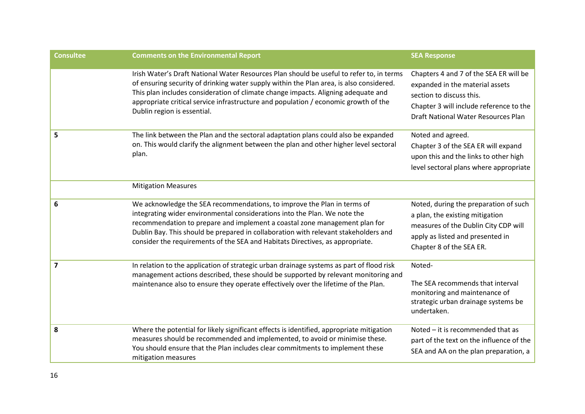| <b>Consultee</b>        | <b>Comments on the Environmental Report</b>                                                                                                                                                                                                                                                                                                                                                                | <b>SEA Response</b>                                                                                                                                                                     |
|-------------------------|------------------------------------------------------------------------------------------------------------------------------------------------------------------------------------------------------------------------------------------------------------------------------------------------------------------------------------------------------------------------------------------------------------|-----------------------------------------------------------------------------------------------------------------------------------------------------------------------------------------|
|                         | Irish Water's Draft National Water Resources Plan should be useful to refer to, in terms<br>of ensuring security of drinking water supply within the Plan area, is also considered.<br>This plan includes consideration of climate change impacts. Aligning adequate and<br>appropriate critical service infrastructure and population / economic growth of the<br>Dublin region is essential.             | Chapters 4 and 7 of the SEA ER will be<br>expanded in the material assets<br>section to discuss this.<br>Chapter 3 will include reference to the<br>Draft National Water Resources Plan |
| 5                       | The link between the Plan and the sectoral adaptation plans could also be expanded<br>on. This would clarify the alignment between the plan and other higher level sectoral<br>plan.                                                                                                                                                                                                                       | Noted and agreed.<br>Chapter 3 of the SEA ER will expand<br>upon this and the links to other high<br>level sectoral plans where appropriate                                             |
|                         | <b>Mitigation Measures</b>                                                                                                                                                                                                                                                                                                                                                                                 |                                                                                                                                                                                         |
| 6                       | We acknowledge the SEA recommendations, to improve the Plan in terms of<br>integrating wider environmental considerations into the Plan. We note the<br>recommendation to prepare and implement a coastal zone management plan for<br>Dublin Bay. This should be prepared in collaboration with relevant stakeholders and<br>consider the requirements of the SEA and Habitats Directives, as appropriate. | Noted, during the preparation of such<br>a plan, the existing mitigation<br>measures of the Dublin City CDP will<br>apply as listed and presented in<br>Chapter 8 of the SEA ER.        |
| $\overline{\mathbf{z}}$ | In relation to the application of strategic urban drainage systems as part of flood risk<br>management actions described, these should be supported by relevant monitoring and<br>maintenance also to ensure they operate effectively over the lifetime of the Plan.                                                                                                                                       | Noted-<br>The SEA recommends that interval<br>monitoring and maintenance of<br>strategic urban drainage systems be<br>undertaken.                                                       |
| 8                       | Where the potential for likely significant effects is identified, appropriate mitigation<br>measures should be recommended and implemented, to avoid or minimise these.<br>You should ensure that the Plan includes clear commitments to implement these<br>mitigation measures                                                                                                                            | Noted - it is recommended that as<br>part of the text on the influence of the<br>SEA and AA on the plan preparation, a                                                                  |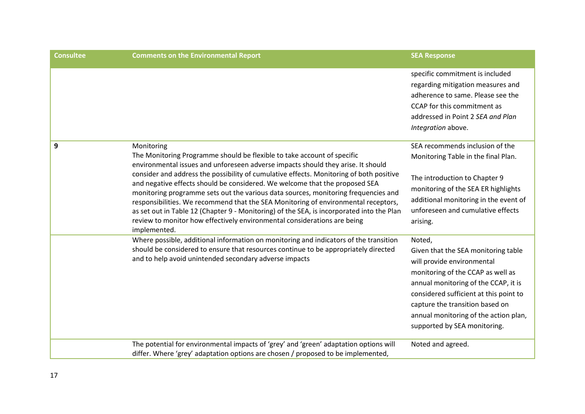| <b>Consultee</b> | <b>Comments on the Environmental Report</b>                                                                                                                                                                                                                                                                                                                                                                                                                                                                                                                                                                                                                                                                              | <b>SEA Response</b>                                                                                                                                                                                                                                                                                            |
|------------------|--------------------------------------------------------------------------------------------------------------------------------------------------------------------------------------------------------------------------------------------------------------------------------------------------------------------------------------------------------------------------------------------------------------------------------------------------------------------------------------------------------------------------------------------------------------------------------------------------------------------------------------------------------------------------------------------------------------------------|----------------------------------------------------------------------------------------------------------------------------------------------------------------------------------------------------------------------------------------------------------------------------------------------------------------|
|                  |                                                                                                                                                                                                                                                                                                                                                                                                                                                                                                                                                                                                                                                                                                                          | specific commitment is included<br>regarding mitigation measures and<br>adherence to same. Please see the<br>CCAP for this commitment as<br>addressed in Point 2 SEA and Plan<br>Integration above.                                                                                                            |
| 9                | Monitoring<br>The Monitoring Programme should be flexible to take account of specific<br>environmental issues and unforeseen adverse impacts should they arise. It should<br>consider and address the possibility of cumulative effects. Monitoring of both positive<br>and negative effects should be considered. We welcome that the proposed SEA<br>monitoring programme sets out the various data sources, monitoring frequencies and<br>responsibilities. We recommend that the SEA Monitoring of environmental receptors,<br>as set out in Table 12 (Chapter 9 - Monitoring) of the SEA, is incorporated into the Plan<br>review to monitor how effectively environmental considerations are being<br>implemented. | SEA recommends inclusion of the<br>Monitoring Table in the final Plan.<br>The introduction to Chapter 9<br>monitoring of the SEA ER highlights<br>additional monitoring in the event of<br>unforeseen and cumulative effects<br>arising.                                                                       |
|                  | Where possible, additional information on monitoring and indicators of the transition<br>should be considered to ensure that resources continue to be appropriately directed<br>and to help avoid unintended secondary adverse impacts                                                                                                                                                                                                                                                                                                                                                                                                                                                                                   | Noted,<br>Given that the SEA monitoring table<br>will provide environmental<br>monitoring of the CCAP as well as<br>annual monitoring of the CCAP, it is<br>considered sufficient at this point to<br>capture the transition based on<br>annual monitoring of the action plan,<br>supported by SEA monitoring. |
|                  | The potential for environmental impacts of 'grey' and 'green' adaptation options will<br>differ. Where 'grey' adaptation options are chosen / proposed to be implemented,                                                                                                                                                                                                                                                                                                                                                                                                                                                                                                                                                | Noted and agreed.                                                                                                                                                                                                                                                                                              |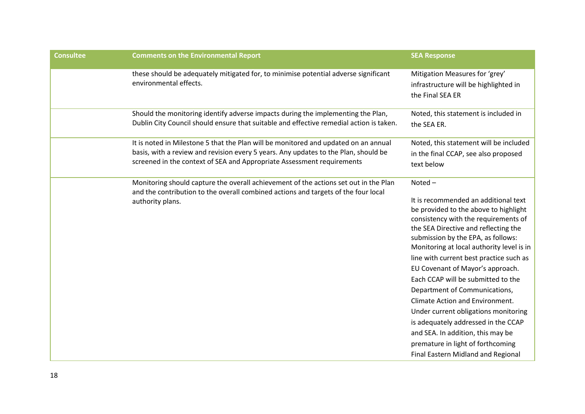| <b>Consultee</b> | <b>Comments on the Environmental Report</b>                                                                                                                                                                                                          | <b>SEA Response</b>                                                                                                                                                                                                                                                                                                                                                                                                                                                                                                                                                                                                                                |
|------------------|------------------------------------------------------------------------------------------------------------------------------------------------------------------------------------------------------------------------------------------------------|----------------------------------------------------------------------------------------------------------------------------------------------------------------------------------------------------------------------------------------------------------------------------------------------------------------------------------------------------------------------------------------------------------------------------------------------------------------------------------------------------------------------------------------------------------------------------------------------------------------------------------------------------|
|                  | these should be adequately mitigated for, to minimise potential adverse significant<br>environmental effects.                                                                                                                                        | Mitigation Measures for 'grey'<br>infrastructure will be highlighted in<br>the Final SEA ER                                                                                                                                                                                                                                                                                                                                                                                                                                                                                                                                                        |
|                  | Should the monitoring identify adverse impacts during the implementing the Plan,<br>Dublin City Council should ensure that suitable and effective remedial action is taken.                                                                          | Noted, this statement is included in<br>the SEA ER.                                                                                                                                                                                                                                                                                                                                                                                                                                                                                                                                                                                                |
|                  | It is noted in Milestone 5 that the Plan will be monitored and updated on an annual<br>basis, with a review and revision every 5 years. Any updates to the Plan, should be<br>screened in the context of SEA and Appropriate Assessment requirements | Noted, this statement will be included<br>in the final CCAP, see also proposed<br>text below                                                                                                                                                                                                                                                                                                                                                                                                                                                                                                                                                       |
|                  | Monitoring should capture the overall achievement of the actions set out in the Plan<br>and the contribution to the overall combined actions and targets of the four local<br>authority plans.                                                       | Noted-<br>It is recommended an additional text<br>be provided to the above to highlight<br>consistency with the requirements of<br>the SEA Directive and reflecting the<br>submission by the EPA, as follows:<br>Monitoring at local authority level is in<br>line with current best practice such as<br>EU Covenant of Mayor's approach.<br>Each CCAP will be submitted to the<br>Department of Communications,<br>Climate Action and Environment.<br>Under current obligations monitoring<br>is adequately addressed in the CCAP<br>and SEA. In addition, this may be<br>premature in light of forthcoming<br>Final Eastern Midland and Regional |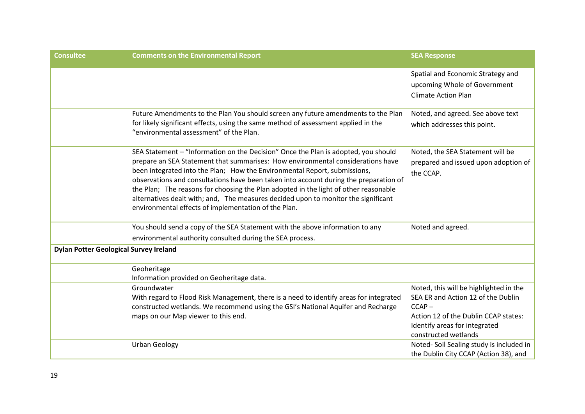| <b>Consultee</b>                              | <b>Comments on the Environmental Report</b>                                                                                                                                                                                                                                                                                                                                                                                                                                                                                                                                       | <b>SEA Response</b>                                                                                                                                                                       |
|-----------------------------------------------|-----------------------------------------------------------------------------------------------------------------------------------------------------------------------------------------------------------------------------------------------------------------------------------------------------------------------------------------------------------------------------------------------------------------------------------------------------------------------------------------------------------------------------------------------------------------------------------|-------------------------------------------------------------------------------------------------------------------------------------------------------------------------------------------|
|                                               |                                                                                                                                                                                                                                                                                                                                                                                                                                                                                                                                                                                   | Spatial and Economic Strategy and<br>upcoming Whole of Government<br><b>Climate Action Plan</b>                                                                                           |
|                                               | Future Amendments to the Plan You should screen any future amendments to the Plan<br>for likely significant effects, using the same method of assessment applied in the<br>"environmental assessment" of the Plan.                                                                                                                                                                                                                                                                                                                                                                | Noted, and agreed. See above text<br>which addresses this point.                                                                                                                          |
|                                               | SEA Statement - "Information on the Decision" Once the Plan is adopted, you should<br>prepare an SEA Statement that summarises: How environmental considerations have<br>been integrated into the Plan; How the Environmental Report, submissions,<br>observations and consultations have been taken into account during the preparation of<br>the Plan; The reasons for choosing the Plan adopted in the light of other reasonable<br>alternatives dealt with; and, The measures decided upon to monitor the significant<br>environmental effects of implementation of the Plan. | Noted, the SEA Statement will be<br>prepared and issued upon adoption of<br>the CCAP.                                                                                                     |
|                                               | You should send a copy of the SEA Statement with the above information to any<br>environmental authority consulted during the SEA process.                                                                                                                                                                                                                                                                                                                                                                                                                                        | Noted and agreed.                                                                                                                                                                         |
| <b>Dylan Potter Geological Survey Ireland</b> |                                                                                                                                                                                                                                                                                                                                                                                                                                                                                                                                                                                   |                                                                                                                                                                                           |
|                                               | Geoheritage<br>Information provided on Geoheritage data.                                                                                                                                                                                                                                                                                                                                                                                                                                                                                                                          |                                                                                                                                                                                           |
|                                               | Groundwater<br>With regard to Flood Risk Management, there is a need to identify areas for integrated<br>constructed wetlands. We recommend using the GSI's National Aquifer and Recharge<br>maps on our Map viewer to this end.                                                                                                                                                                                                                                                                                                                                                  | Noted, this will be highlighted in the<br>SEA ER and Action 12 of the Dublin<br>$CCAP -$<br>Action 12 of the Dublin CCAP states:<br>Identify areas for integrated<br>constructed wetlands |
|                                               | <b>Urban Geology</b>                                                                                                                                                                                                                                                                                                                                                                                                                                                                                                                                                              | Noted-Soil Sealing study is included in<br>the Dublin City CCAP (Action 38), and                                                                                                          |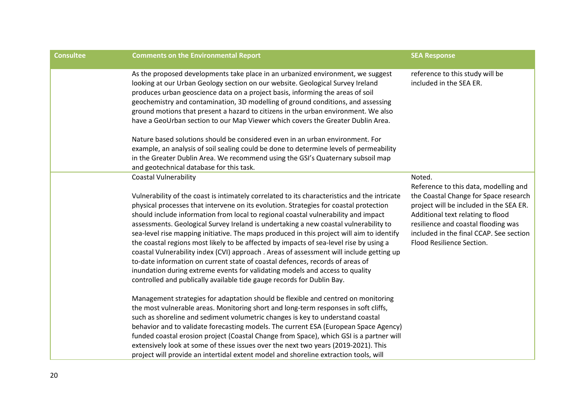| <b>Consultee</b> | <b>Comments on the Environmental Report</b>                                                                                                                                                                                                                                                                                                                                                                                                                                                                                                                                                                                                                                                                                                                                                                                                                                                                                       | <b>SEA Response</b>                                                                                                                                                                                                                                                                     |
|------------------|-----------------------------------------------------------------------------------------------------------------------------------------------------------------------------------------------------------------------------------------------------------------------------------------------------------------------------------------------------------------------------------------------------------------------------------------------------------------------------------------------------------------------------------------------------------------------------------------------------------------------------------------------------------------------------------------------------------------------------------------------------------------------------------------------------------------------------------------------------------------------------------------------------------------------------------|-----------------------------------------------------------------------------------------------------------------------------------------------------------------------------------------------------------------------------------------------------------------------------------------|
|                  | As the proposed developments take place in an urbanized environment, we suggest<br>looking at our Urban Geology section on our website. Geological Survey Ireland<br>produces urban geoscience data on a project basis, informing the areas of soil<br>geochemistry and contamination, 3D modelling of ground conditions, and assessing<br>ground motions that present a hazard to citizens in the urban environment. We also<br>have a GeoUrban section to our Map Viewer which covers the Greater Dublin Area.                                                                                                                                                                                                                                                                                                                                                                                                                  | reference to this study will be<br>included in the SEA ER.                                                                                                                                                                                                                              |
|                  | Nature based solutions should be considered even in an urban environment. For<br>example, an analysis of soil sealing could be done to determine levels of permeability<br>in the Greater Dublin Area. We recommend using the GSI's Quaternary subsoil map<br>and geotechnical database for this task.                                                                                                                                                                                                                                                                                                                                                                                                                                                                                                                                                                                                                            |                                                                                                                                                                                                                                                                                         |
|                  | <b>Coastal Vulnerability</b><br>Vulnerability of the coast is intimately correlated to its characteristics and the intricate<br>physical processes that intervene on its evolution. Strategies for coastal protection<br>should include information from local to regional coastal vulnerability and impact<br>assessments. Geological Survey Ireland is undertaking a new coastal vulnerability to<br>sea-level rise mapping initiative. The maps produced in this project will aim to identify<br>the coastal regions most likely to be affected by impacts of sea-level rise by using a<br>coastal Vulnerability index (CVI) approach . Areas of assessment will include getting up<br>to-date information on current state of coastal defences, records of areas of<br>inundation during extreme events for validating models and access to quality<br>controlled and publically available tide gauge records for Dublin Bay. | Noted.<br>Reference to this data, modelling and<br>the Coastal Change for Space research<br>project will be included in the SEA ER.<br>Additional text relating to flood<br>resilience and coastal flooding was<br>included in the final CCAP. See section<br>Flood Resilience Section. |
|                  | Management strategies for adaptation should be flexible and centred on monitoring<br>the most vulnerable areas. Monitoring short and long-term responses in soft cliffs,<br>such as shoreline and sediment volumetric changes is key to understand coastal<br>behavior and to validate forecasting models. The current ESA (European Space Agency)<br>funded coastal erosion project (Coastal Change from Space), which GSI is a partner will<br>extensively look at some of these issues over the next two years (2019-2021). This<br>project will provide an intertidal extent model and shoreline extraction tools, will                                                                                                                                                                                                                                                                                                       |                                                                                                                                                                                                                                                                                         |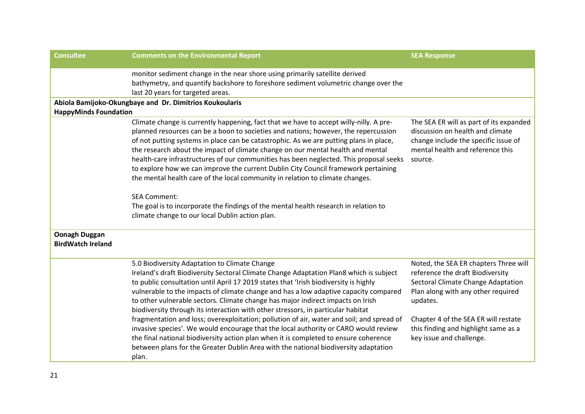| <b>Consultee</b>                                 | <b>Comments on the Environmental Report</b>                                                                                                                                                                                                                                                                                                                                                                                                                                                                                                                                                                                                                                                                                                                                                                                                                                | <b>SEA Response</b>                                                                                                                                                                                                                                                           |
|--------------------------------------------------|----------------------------------------------------------------------------------------------------------------------------------------------------------------------------------------------------------------------------------------------------------------------------------------------------------------------------------------------------------------------------------------------------------------------------------------------------------------------------------------------------------------------------------------------------------------------------------------------------------------------------------------------------------------------------------------------------------------------------------------------------------------------------------------------------------------------------------------------------------------------------|-------------------------------------------------------------------------------------------------------------------------------------------------------------------------------------------------------------------------------------------------------------------------------|
|                                                  | monitor sediment change in the near shore using primarily satellite derived<br>bathymetry, and quantify backshore to foreshore sediment volumetric change over the<br>last 20 years for targeted areas.                                                                                                                                                                                                                                                                                                                                                                                                                                                                                                                                                                                                                                                                    |                                                                                                                                                                                                                                                                               |
|                                                  | Abiola Bamijoko-Okungbaye and Dr. Dimitrios Koukoularis                                                                                                                                                                                                                                                                                                                                                                                                                                                                                                                                                                                                                                                                                                                                                                                                                    |                                                                                                                                                                                                                                                                               |
| <b>HappyMinds Foundation</b>                     |                                                                                                                                                                                                                                                                                                                                                                                                                                                                                                                                                                                                                                                                                                                                                                                                                                                                            |                                                                                                                                                                                                                                                                               |
|                                                  | Climate change is currently happening, fact that we have to accept willy-nilly. A pre-<br>planned resources can be a boon to societies and nations; however, the repercussion<br>of not putting systems in place can be catastrophic. As we are putting plans in place,<br>the research about the impact of climate change on our mental health and mental<br>health-care infrastructures of our communities has been neglected. This proposal seeks<br>to explore how we can improve the current Dublin City Council framework pertaining<br>the mental health care of the local community in relation to climate changes.<br><b>SEA Comment:</b><br>The goal is to incorporate the findings of the mental health research in relation to<br>climate change to our local Dublin action plan.                                                                              | The SEA ER will as part of its expanded<br>discussion on health and climate<br>change include the specific issue of<br>mental health and reference this<br>source.                                                                                                            |
| <b>Oonagh Duggan</b><br><b>BirdWatch Ireland</b> |                                                                                                                                                                                                                                                                                                                                                                                                                                                                                                                                                                                                                                                                                                                                                                                                                                                                            |                                                                                                                                                                                                                                                                               |
|                                                  | 5.0 Biodiversity Adaptation to Climate Change<br>Ireland's draft Biodiversity Sectoral Climate Change Adaptation Plan8 which is subject<br>to public consultation until April 17 2019 states that 'Irish biodiversity is highly<br>vulnerable to the impacts of climate change and has a low adaptive capacity compared<br>to other vulnerable sectors. Climate change has major indirect impacts on Irish<br>biodiversity through its interaction with other stressors, in particular habitat<br>fragmentation and loss; overexploitation; pollution of air, water and soil; and spread of<br>invasive species'. We would encourage that the local authority or CARO would review<br>the final national biodiversity action plan when it is completed to ensure coherence<br>between plans for the Greater Dublin Area with the national biodiversity adaptation<br>plan. | Noted, the SEA ER chapters Three will<br>reference the draft Biodiversity<br>Sectoral Climate Change Adaptation<br>Plan along with any other required<br>updates.<br>Chapter 4 of the SEA ER will restate<br>this finding and highlight same as a<br>key issue and challenge. |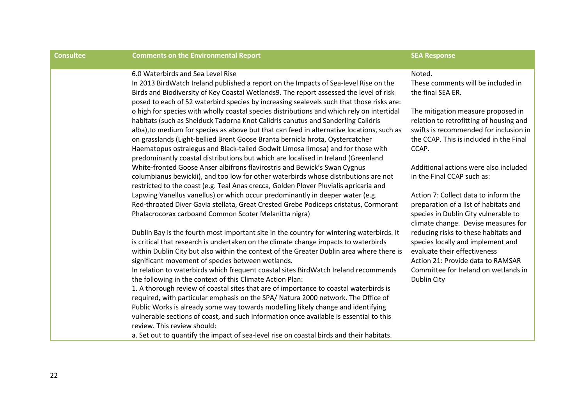| <b>Consultee</b> | <b>Comments on the Environmental Report</b>                                                                                                                                        | <b>SEA Response</b>                                                               |
|------------------|------------------------------------------------------------------------------------------------------------------------------------------------------------------------------------|-----------------------------------------------------------------------------------|
|                  | 6.0 Waterbirds and Sea Level Rise<br>In 2013 BirdWatch Ireland published a report on the Impacts of Sea-level Rise on the                                                          | Noted.<br>These comments will be included in                                      |
|                  | Birds and Biodiversity of Key Coastal Wetlands9. The report assessed the level of risk<br>posed to each of 52 waterbird species by increasing sealevels such that those risks are: | the final SEA ER.                                                                 |
|                  | o high for species with wholly coastal species distributions and which rely on intertidal<br>habitats (such as Shelduck Tadorna Knot Calidris canutus and Sanderling Calidris      | The mitigation measure proposed in<br>relation to retrofitting of housing and     |
|                  | alba), to medium for species as above but that can feed in alternative locations, such as<br>on grasslands (Light-bellied Brent Goose Branta bernicla hrota, Oystercatcher         | swifts is recommended for inclusion in<br>the CCAP. This is included in the Final |
|                  | Haematopus ostralegus and Black-tailed Godwit Limosa limosa) and for those with<br>predominantly coastal distributions but which are localised in Ireland (Greenland               | CCAP.                                                                             |
|                  | White-fronted Goose Anser albifrons flavirostris and Bewick's Swan Cygnus<br>columbianus bewickii), and too low for other waterbirds whose distributions are not                   | Additional actions were also included<br>in the Final CCAP such as:               |
|                  | restricted to the coast (e.g. Teal Anas crecca, Golden Plover Pluvialis apricaria and<br>Lapwing Vanellus vanellus) or which occur predominantly in deeper water (e.g.             | Action 7: Collect data to inform the                                              |
|                  | Red-throated Diver Gavia stellata, Great Crested Grebe Podiceps cristatus, Cormorant                                                                                               | preparation of a list of habitats and                                             |
|                  | Phalacrocorax carboand Common Scoter Melanitta nigra)                                                                                                                              | species in Dublin City vulnerable to<br>climate change. Devise measures for       |
|                  | Dublin Bay is the fourth most important site in the country for wintering waterbirds. It<br>is critical that research is undertaken on the climate change impacts to waterbirds    | reducing risks to these habitats and<br>species locally and implement and         |
|                  | within Dublin City but also within the context of the Greater Dublin area where there is<br>significant movement of species between wetlands.                                      | evaluate their effectiveness<br>Action 21: Provide data to RAMSAR                 |
|                  | In relation to waterbirds which frequent coastal sites BirdWatch Ireland recommends                                                                                                | Committee for Ireland on wetlands in                                              |
|                  | the following in the context of this Climate Action Plan:<br>1. A thorough review of coastal sites that are of importance to coastal waterbirds is                                 | Dublin City                                                                       |
|                  | required, with particular emphasis on the SPA/ Natura 2000 network. The Office of                                                                                                  |                                                                                   |
|                  | Public Works is already some way towards modelling likely change and identifying                                                                                                   |                                                                                   |
|                  | vulnerable sections of coast, and such information once available is essential to this<br>review. This review should:                                                              |                                                                                   |
|                  | a. Set out to quantify the impact of sea-level rise on coastal birds and their habitats.                                                                                           |                                                                                   |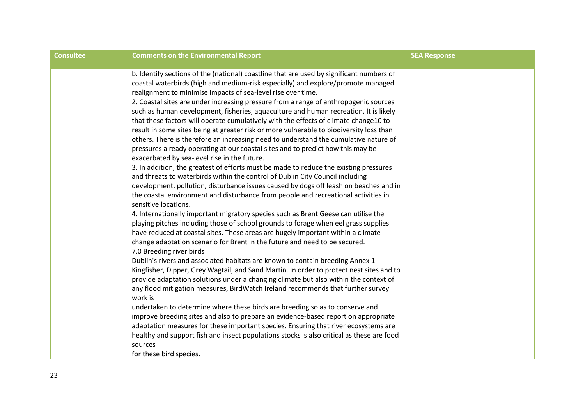| <b>Consultee</b> | <b>Comments on the Environmental Report</b>                                                                                                                                                                                                                                                                                                                                                                                                                                                                                                                                                                                                                                                                                                                                                                                                                                                                                                                                                                                                                                                                                                                                                                                                                                                                                                                                                                                                                                                                                                                                                                                                                                                                                                                                                                                                                                                                                                                                                                                                                                                                                                                                                                                                                                                                                                    | <b>SEA Response</b> |
|------------------|------------------------------------------------------------------------------------------------------------------------------------------------------------------------------------------------------------------------------------------------------------------------------------------------------------------------------------------------------------------------------------------------------------------------------------------------------------------------------------------------------------------------------------------------------------------------------------------------------------------------------------------------------------------------------------------------------------------------------------------------------------------------------------------------------------------------------------------------------------------------------------------------------------------------------------------------------------------------------------------------------------------------------------------------------------------------------------------------------------------------------------------------------------------------------------------------------------------------------------------------------------------------------------------------------------------------------------------------------------------------------------------------------------------------------------------------------------------------------------------------------------------------------------------------------------------------------------------------------------------------------------------------------------------------------------------------------------------------------------------------------------------------------------------------------------------------------------------------------------------------------------------------------------------------------------------------------------------------------------------------------------------------------------------------------------------------------------------------------------------------------------------------------------------------------------------------------------------------------------------------------------------------------------------------------------------------------------------------|---------------------|
|                  | b. Identify sections of the (national) coastline that are used by significant numbers of<br>coastal waterbirds (high and medium-risk especially) and explore/promote managed<br>realignment to minimise impacts of sea-level rise over time.<br>2. Coastal sites are under increasing pressure from a range of anthropogenic sources<br>such as human development, fisheries, aquaculture and human recreation. It is likely<br>that these factors will operate cumulatively with the effects of climate change10 to<br>result in some sites being at greater risk or more vulnerable to biodiversity loss than<br>others. There is therefore an increasing need to understand the cumulative nature of<br>pressures already operating at our coastal sites and to predict how this may be<br>exacerbated by sea-level rise in the future.<br>3. In addition, the greatest of efforts must be made to reduce the existing pressures<br>and threats to waterbirds within the control of Dublin City Council including<br>development, pollution, disturbance issues caused by dogs off leash on beaches and in<br>the coastal environment and disturbance from people and recreational activities in<br>sensitive locations.<br>4. Internationally important migratory species such as Brent Geese can utilise the<br>playing pitches including those of school grounds to forage when eel grass supplies<br>have reduced at coastal sites. These areas are hugely important within a climate<br>change adaptation scenario for Brent in the future and need to be secured.<br>7.0 Breeding river birds<br>Dublin's rivers and associated habitats are known to contain breeding Annex 1<br>Kingfisher, Dipper, Grey Wagtail, and Sand Martin. In order to protect nest sites and to<br>provide adaptation solutions under a changing climate but also within the context of<br>any flood mitigation measures, BirdWatch Ireland recommends that further survey<br>work is<br>undertaken to determine where these birds are breeding so as to conserve and<br>improve breeding sites and also to prepare an evidence-based report on appropriate<br>adaptation measures for these important species. Ensuring that river ecosystems are<br>healthy and support fish and insect populations stocks is also critical as these are food<br>sources |                     |
|                  | for these bird species.                                                                                                                                                                                                                                                                                                                                                                                                                                                                                                                                                                                                                                                                                                                                                                                                                                                                                                                                                                                                                                                                                                                                                                                                                                                                                                                                                                                                                                                                                                                                                                                                                                                                                                                                                                                                                                                                                                                                                                                                                                                                                                                                                                                                                                                                                                                        |                     |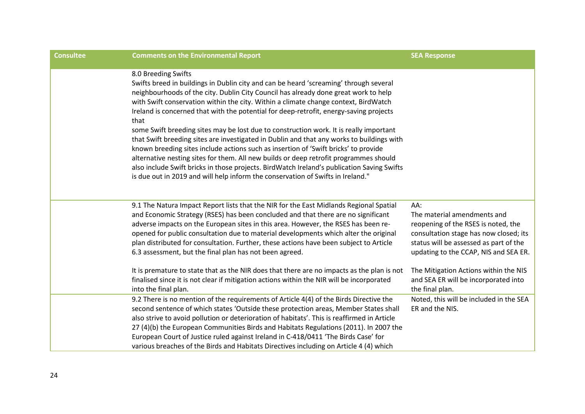| <b>Consultee</b> | <b>Comments on the Environmental Report</b>                                                                                                                                                                                                                                                                                                                                                                                                                                                                                                                                                                                                                                                                                                                                                                                                                                                                                                          | <b>SEA Response</b>                                                                                                                                                                                                                                                                                        |
|------------------|------------------------------------------------------------------------------------------------------------------------------------------------------------------------------------------------------------------------------------------------------------------------------------------------------------------------------------------------------------------------------------------------------------------------------------------------------------------------------------------------------------------------------------------------------------------------------------------------------------------------------------------------------------------------------------------------------------------------------------------------------------------------------------------------------------------------------------------------------------------------------------------------------------------------------------------------------|------------------------------------------------------------------------------------------------------------------------------------------------------------------------------------------------------------------------------------------------------------------------------------------------------------|
|                  | 8.0 Breeding Swifts<br>Swifts breed in buildings in Dublin city and can be heard 'screaming' through several<br>neighbourhoods of the city. Dublin City Council has already done great work to help<br>with Swift conservation within the city. Within a climate change context, BirdWatch<br>Ireland is concerned that with the potential for deep-retrofit, energy-saving projects<br>that<br>some Swift breeding sites may be lost due to construction work. It is really important<br>that Swift breeding sites are investigated in Dublin and that any works to buildings with<br>known breeding sites include actions such as insertion of 'Swift bricks' to provide<br>alternative nesting sites for them. All new builds or deep retrofit programmes should<br>also include Swift bricks in those projects. BirdWatch Ireland's publication Saving Swifts<br>is due out in 2019 and will help inform the conservation of Swifts in Ireland." |                                                                                                                                                                                                                                                                                                            |
|                  | 9.1 The Natura Impact Report lists that the NIR for the East Midlands Regional Spatial<br>and Economic Strategy (RSES) has been concluded and that there are no significant<br>adverse impacts on the European sites in this area. However, the RSES has been re-<br>opened for public consultation due to material developments which alter the original<br>plan distributed for consultation. Further, these actions have been subject to Article<br>6.3 assessment, but the final plan has not been agreed.<br>It is premature to state that as the NIR does that there are no impacts as the plan is not<br>finalised since it is not clear if mitigation actions within the NIR will be incorporated<br>into the final plan.                                                                                                                                                                                                                    | AA:<br>The material amendments and<br>reopening of the RSES is noted, the<br>consultation stage has now closed; its<br>status will be assessed as part of the<br>updating to the CCAP, NIS and SEA ER.<br>The Mitigation Actions within the NIS<br>and SEA ER will be incorporated into<br>the final plan. |
|                  | 9.2 There is no mention of the requirements of Article 4(4) of the Birds Directive the<br>second sentence of which states 'Outside these protection areas, Member States shall<br>also strive to avoid pollution or deterioration of habitats'. This is reaffirmed in Article<br>27 (4)(b) the European Communities Birds and Habitats Regulations (2011). In 2007 the<br>European Court of Justice ruled against Ireland in C-418/0411 'The Birds Case' for<br>various breaches of the Birds and Habitats Directives including on Article 4 (4) which                                                                                                                                                                                                                                                                                                                                                                                               | Noted, this will be included in the SEA<br>ER and the NIS.                                                                                                                                                                                                                                                 |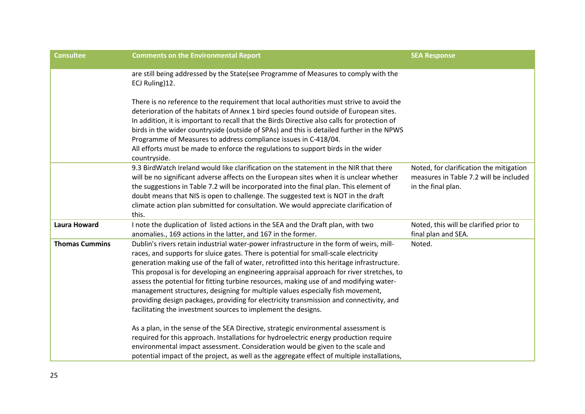| <b>Consultee</b>      | <b>Comments on the Environmental Report</b>                                                                                                                                                                                                                                                                                                                                                                                                                                                                                                                                                                                                                                                                         | <b>SEA Response</b>                                                                                     |  |
|-----------------------|---------------------------------------------------------------------------------------------------------------------------------------------------------------------------------------------------------------------------------------------------------------------------------------------------------------------------------------------------------------------------------------------------------------------------------------------------------------------------------------------------------------------------------------------------------------------------------------------------------------------------------------------------------------------------------------------------------------------|---------------------------------------------------------------------------------------------------------|--|
|                       | are still being addressed by the State(see Programme of Measures to comply with the<br>ECJ Ruling)12.                                                                                                                                                                                                                                                                                                                                                                                                                                                                                                                                                                                                               |                                                                                                         |  |
|                       | There is no reference to the requirement that local authorities must strive to avoid the<br>deterioration of the habitats of Annex 1 bird species found outside of European sites.<br>In addition, it is important to recall that the Birds Directive also calls for protection of<br>birds in the wider countryside (outside of SPAs) and this is detailed further in the NPWS<br>Programme of Measures to address compliance issues in C-418/04.<br>All efforts must be made to enforce the regulations to support birds in the wider<br>countryside.                                                                                                                                                             |                                                                                                         |  |
|                       | 9.3 BirdWatch Ireland would like clarification on the statement in the NIR that there<br>will be no significant adverse affects on the European sites when it is unclear whether<br>the suggestions in Table 7.2 will be incorporated into the final plan. This element of<br>doubt means that NIS is open to challenge. The suggested text is NOT in the draft<br>climate action plan submitted for consultation. We would appreciate clarification of<br>this.                                                                                                                                                                                                                                                    | Noted, for clarification the mitigation<br>measures in Table 7.2 will be included<br>in the final plan. |  |
| <b>Laura Howard</b>   | I note the duplication of listed actions in the SEA and the Draft plan, with two<br>anomalies., 169 actions in the latter, and 167 in the former.                                                                                                                                                                                                                                                                                                                                                                                                                                                                                                                                                                   | Noted, this will be clarified prior to<br>final plan and SEA.                                           |  |
| <b>Thomas Cummins</b> | Dublin's rivers retain industrial water-power infrastructure in the form of weirs, mill-<br>races, and supports for sluice gates. There is potential for small-scale electricity<br>generation making use of the fall of water, retrofitted into this heritage infrastructure.<br>This proposal is for developing an engineering appraisal approach for river stretches, to<br>assess the potential for fitting turbine resources, making use of and modifying water-<br>management structures, designing for multiple values especially fish movement,<br>providing design packages, providing for electricity transmission and connectivity, and<br>facilitating the investment sources to implement the designs. | Noted.                                                                                                  |  |
|                       | As a plan, in the sense of the SEA Directive, strategic environmental assessment is<br>required for this approach. Installations for hydroelectric energy production require<br>environmental impact assessment. Consideration would be given to the scale and<br>potential impact of the project, as well as the aggregate effect of multiple installations,                                                                                                                                                                                                                                                                                                                                                       |                                                                                                         |  |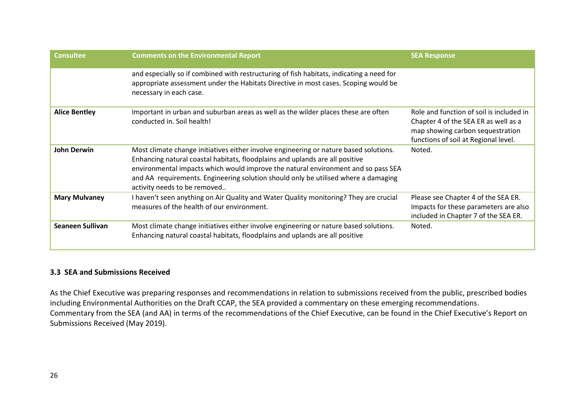| <b>Consultee</b>        | <b>Comments on the Environmental Report</b>                                                                                                                                                                                                                                                                                                                                      | <b>SEA Response</b>                                                                                                                                          |
|-------------------------|----------------------------------------------------------------------------------------------------------------------------------------------------------------------------------------------------------------------------------------------------------------------------------------------------------------------------------------------------------------------------------|--------------------------------------------------------------------------------------------------------------------------------------------------------------|
|                         | and especially so if combined with restructuring of fish habitats, indicating a need for<br>appropriate assessment under the Habitats Directive in most cases. Scoping would be<br>necessary in each case.                                                                                                                                                                       |                                                                                                                                                              |
| <b>Alice Bentley</b>    | Important in urban and suburban areas as well as the wilder places these are often<br>conducted in. Soil health!                                                                                                                                                                                                                                                                 | Role and function of soil is included in<br>Chapter 4 of the SEA ER as well as a<br>map showing carbon sequestration<br>functions of soil at Regional level. |
| John Derwin             | Most climate change initiatives either involve engineering or nature based solutions.<br>Enhancing natural coastal habitats, floodplains and uplands are all positive<br>environmental impacts which would improve the natural environment and so pass SEA<br>and AA requirements. Engineering solution should only be utilised where a damaging<br>activity needs to be removed | Noted.                                                                                                                                                       |
| <b>Mary Mulvaney</b>    | I haven't seen anything on Air Quality and Water Quality monitoring? They are crucial<br>measures of the health of our environment.                                                                                                                                                                                                                                              | Please see Chapter 4 of the SEA ER.<br>Impacts for these parameters are also<br>included in Chapter 7 of the SEA ER.                                         |
| <b>Seaneen Sullivan</b> | Most climate change initiatives either involve engineering or nature based solutions.<br>Enhancing natural coastal habitats, floodplains and uplands are all positive                                                                                                                                                                                                            | Noted.                                                                                                                                                       |

## **3.3 SEA and Submissions Received**

As the Chief Executive was preparing responses and recommendations in relation to submissions received from the public, prescribed bodies including Environmental Authorities on the Draft CCAP, the SEA provided a commentary on these emerging recommendations. Commentary from the SEA (and AA) in terms of the recommendations of the Chief Executive, can be found in the Chief Executive's Report on Submissions Received (May 2019).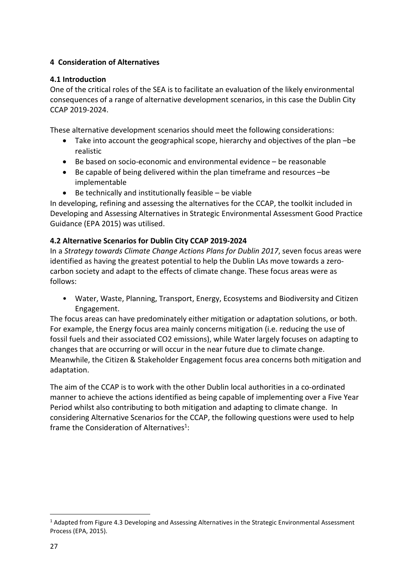## **4 Consideration of Alternatives**

## **4.1 Introduction**

One of the critical roles of the SEA is to facilitate an evaluation of the likely environmental consequences of a range of alternative development scenarios, in this case the Dublin City CCAP 2019-2024.

These alternative development scenarios should meet the following considerations:

- Take into account the geographical scope, hierarchy and objectives of the plan –be realistic
- $\bullet$  Be based on socio-economic and environmental evidence  $-$  be reasonable
- Be capable of being delivered within the plan timeframe and resources –be implementable
- $\bullet$  Be technically and institutionally feasible be viable

In developing, refining and assessing the alternatives for the CCAP, the toolkit included in Developing and Assessing Alternatives in Strategic Environmental Assessment Good Practice Guidance (EPA 2015) was utilised.

## **4.2 Alternative Scenarios for Dublin City CCAP 2019-2024**

In a *Strategy towards Climate Change Actions Plans for Dublin 2017*, seven focus areas were identified as having the greatest potential to help the Dublin LAs move towards a zerocarbon society and adapt to the effects of climate change. These focus areas were as follows:

• Water, Waste, Planning, Transport, Energy, Ecosystems and Biodiversity and Citizen Engagement.

The focus areas can have predominately either mitigation or adaptation solutions, or both. For example, the Energy focus area mainly concerns mitigation (i.e. reducing the use of fossil fuels and their associated CO2 emissions), while Water largely focuses on adapting to changes that are occurring or will occur in the near future due to climate change. Meanwhile, the Citizen & Stakeholder Engagement focus area concerns both mitigation and adaptation.

The aim of the CCAP is to work with the other Dublin local authorities in a co-ordinated manner to achieve the actions identified as being capable of implementing over a Five Year Period whilst also contributing to both mitigation and adapting to climate change. In considering Alternative Scenarios for the CCAP, the following questions were used to help frame the Consideration of Alternatives<sup>1</sup>:

<sup>&</sup>lt;sup>1</sup> Adapted from Figure 4.3 Developing and Assessing Alternatives in the Strategic Environmental Assessment Process (EPA, 2015).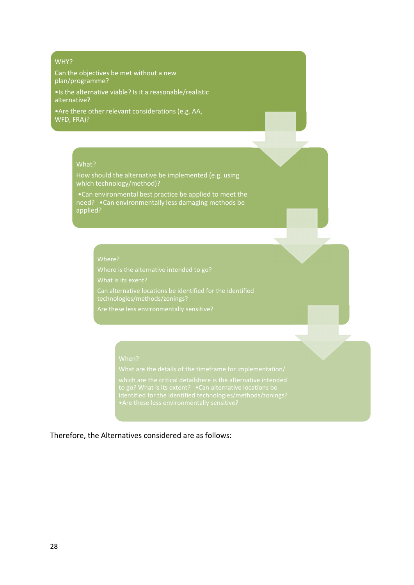#### WHY?

Can the objectives be met without a new plan/programme?

•Is the alternative viable? Is it a reasonable/realistic alternative?

•Are there other relevant considerations (e.g. AA, WFD, FRA)?

## What?

How should the alternative be implemented (e.g. using which technology/method)?

•Can environmental best practice be applied to meet the need? •Can environmentally less damaging methods be applied?

#### Where?

What is its exent? technologies/methods/zonings?

Therefore, the Alternatives considered are as follows: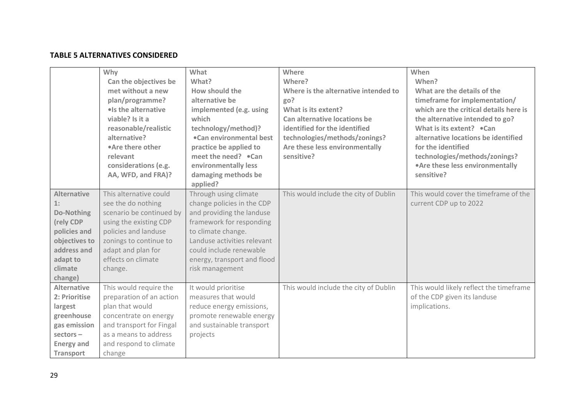## **TABLE 5 ALTERNATIVES CONSIDERED**

|                                                                                                                                       | Why<br>Can the objectives be<br>met without a new<br>plan/programme?<br>· Is the alternative<br>viable? Is it a<br>reasonable/realistic<br>alternative?<br>•Are there other<br>relevant<br>considerations (e.g.<br>AA, WFD, and FRA)? | What<br>What?<br>How should the<br>alternative be<br>implemented (e.g. using<br>which<br>technology/method)?<br>.Can environmental best<br>practice be applied to<br>meet the need? .Can<br>environmentally less<br>damaging methods be<br>applied? | Where<br>Where?<br>Where is the alternative intended to<br>go?<br>What is its extent?<br>Can alternative locations be<br>identified for the identified<br>technologies/methods/zonings?<br>Are these less environmentally<br>sensitive? | When<br>When?<br>What are the details of the<br>timeframe for implementation/<br>which are the critical details here is<br>the alternative intended to go?<br>What is its extent? .Can<br>alternative locations be identified<br>for the identified<br>technologies/methods/zonings?<br>• Are these less environmentally<br>sensitive? |
|---------------------------------------------------------------------------------------------------------------------------------------|---------------------------------------------------------------------------------------------------------------------------------------------------------------------------------------------------------------------------------------|-----------------------------------------------------------------------------------------------------------------------------------------------------------------------------------------------------------------------------------------------------|-----------------------------------------------------------------------------------------------------------------------------------------------------------------------------------------------------------------------------------------|----------------------------------------------------------------------------------------------------------------------------------------------------------------------------------------------------------------------------------------------------------------------------------------------------------------------------------------|
| <b>Alternative</b><br>1:<br>Do-Nothing<br>(rely CDP<br>policies and<br>objectives to<br>address and<br>adapt to<br>climate<br>change) | This alternative could<br>see the do nothing<br>scenario be continued by<br>using the existing CDP<br>policies and landuse<br>zonings to continue to<br>adapt and plan for<br>effects on climate<br>change.                           | Through using climate<br>change policies in the CDP<br>and providing the landuse<br>framework for responding<br>to climate change.<br>Landuse activities relevant<br>could include renewable<br>energy, transport and flood<br>risk management      | This would include the city of Dublin                                                                                                                                                                                                   | This would cover the timeframe of the<br>current CDP up to 2022                                                                                                                                                                                                                                                                        |
| <b>Alternative</b><br>2: Prioritise<br>largest<br>greenhouse<br>gas emission<br>$sectors -$<br><b>Energy and</b><br><b>Transport</b>  | This would require the<br>preparation of an action<br>plan that would<br>concentrate on energy<br>and transport for Fingal<br>as a means to address<br>and respond to climate<br>change                                               | It would prioritise<br>measures that would<br>reduce energy emissions,<br>promote renewable energy<br>and sustainable transport<br>projects                                                                                                         | This would include the city of Dublin                                                                                                                                                                                                   | This would likely reflect the timeframe<br>of the CDP given its landuse<br>implications.                                                                                                                                                                                                                                               |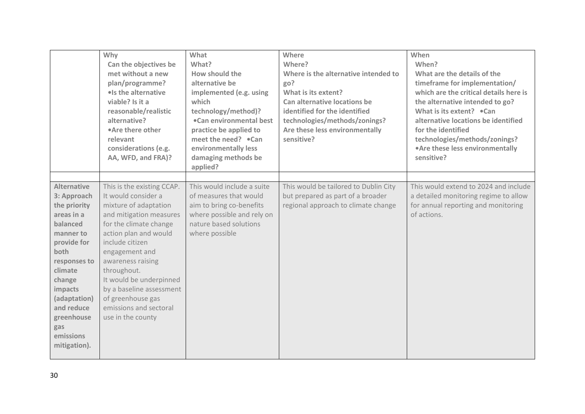|                                                                                                                                                                                                                                                 | Why<br>Can the objectives be<br>met without a new<br>plan/programme?<br>· Is the alternative<br>viable? Is it a<br>reasonable/realistic<br>alternative?<br>•Are there other<br>relevant<br>considerations (e.g.<br>AA, WFD, and FRA)?                                                                                                                        | What<br>What?<br>How should the<br>alternative be<br>implemented (e.g. using<br>which<br>technology/method)?<br>.Can environmental best<br>practice be applied to<br>meet the need? .Can<br>environmentally less<br>damaging methods be<br>applied? | Where<br>Where?<br>Where is the alternative intended to<br>go?<br>What is its extent?<br>Can alternative locations be<br>identified for the identified<br>technologies/methods/zonings?<br>Are these less environmentally<br>sensitive? | When<br>When?<br>What are the details of the<br>timeframe for implementation/<br>which are the critical details here is<br>the alternative intended to go?<br>What is its extent? .Can<br>alternative locations be identified<br>for the identified<br>technologies/methods/zonings?<br>• Are these less environmentally<br>sensitive? |
|-------------------------------------------------------------------------------------------------------------------------------------------------------------------------------------------------------------------------------------------------|--------------------------------------------------------------------------------------------------------------------------------------------------------------------------------------------------------------------------------------------------------------------------------------------------------------------------------------------------------------|-----------------------------------------------------------------------------------------------------------------------------------------------------------------------------------------------------------------------------------------------------|-----------------------------------------------------------------------------------------------------------------------------------------------------------------------------------------------------------------------------------------|----------------------------------------------------------------------------------------------------------------------------------------------------------------------------------------------------------------------------------------------------------------------------------------------------------------------------------------|
| <b>Alternative</b><br>3: Approach<br>the priority<br>areas in a<br>balanced<br>manner to<br>provide for<br>both<br>responses to<br>climate<br>change<br>impacts<br>(adaptation)<br>and reduce<br>greenhouse<br>gas<br>emissions<br>mitigation). | This is the existing CCAP.<br>It would consider a<br>mixture of adaptation<br>and mitigation measures<br>for the climate change<br>action plan and would<br>include citizen<br>engagement and<br>awareness raising<br>throughout.<br>It would be underpinned<br>by a baseline assessment<br>of greenhouse gas<br>emissions and sectoral<br>use in the county | This would include a suite<br>of measures that would<br>aim to bring co-benefits<br>where possible and rely on<br>nature based solutions<br>where possible                                                                                          | This would be tailored to Dublin City<br>but prepared as part of a broader<br>regional approach to climate change                                                                                                                       | This would extend to 2024 and include<br>a detailed monitoring regime to allow<br>for annual reporting and monitoring<br>of actions.                                                                                                                                                                                                   |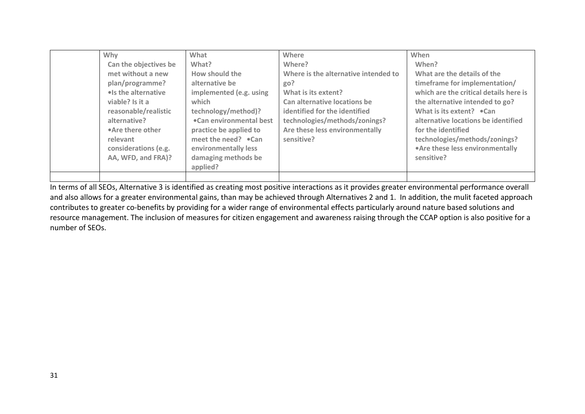| Why                   | What                         | Where                                | When                                   |
|-----------------------|------------------------------|--------------------------------------|----------------------------------------|
| Can the objectives be | What?                        | Where?                               | When?                                  |
| met without a new     | How should the               | Where is the alternative intended to | What are the details of the            |
| plan/programme?       | alternative be               | go?                                  | timeframe for implementation/          |
| . Is the alternative  | implemented (e.g. using      | What is its extent?                  | which are the critical details here is |
| viable? Is it a       | which                        | Can alternative locations be         | the alternative intended to go?        |
| reasonable/realistic  | technology/method)?          | identified for the identified        | What is its extent? $\bullet$ Can      |
| alternative?          | .Can environmental best      | technologies/methods/zonings?        | alternative locations be identified    |
| •Are there other      | practice be applied to       | Are these less environmentally       | for the identified                     |
| relevant              | meet the need? $\bullet$ Can | sensitive?                           | technologies/methods/zonings?          |
| considerations (e.g.  | environmentally less         |                                      | • Are these less environmentally       |
| AA, WFD, and FRA)?    | damaging methods be          |                                      | sensitive?                             |
|                       | applied?                     |                                      |                                        |
|                       |                              |                                      |                                        |

In terms of all SEOs, Alternative 3 is identified as creating most positive interactions as it provides greater environmental performance overall and also allows for a greater environmental gains, than may be achieved through Alternatives 2 and 1. In addition, the mulit faceted approach contributes to greater co-benefits by providing for a wider range of environmental effects particularly around nature based solutions and resource management. The inclusion of measures for citizen engagement and awareness raising through the CCAP option is also positive for a number of SEOs.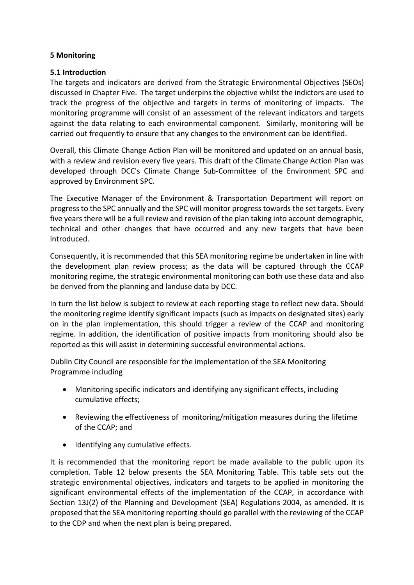## **5 Monitoring**

## **5.1 Introduction**

The targets and indicators are derived from the Strategic Environmental Objectives (SEOs) discussed in Chapter Five. The target underpins the objective whilst the indictors are used to track the progress of the objective and targets in terms of monitoring of impacts. The monitoring programme will consist of an assessment of the relevant indicators and targets against the data relating to each environmental component. Similarly, monitoring will be carried out frequently to ensure that any changes to the environment can be identified.

Overall, this Climate Change Action Plan will be monitored and updated on an annual basis, with a review and revision every five years. This draft of the Climate Change Action Plan was developed through DCC's Climate Change Sub-Committee of the Environment SPC and approved by Environment SPC.

The Executive Manager of the Environment & Transportation Department will report on progress to the SPC annually and the SPC will monitor progress towards the set targets. Every five years there will be a full review and revision of the plan taking into account demographic, technical and other changes that have occurred and any new targets that have been introduced.

Consequently, it is recommended that this SEA monitoring regime be undertaken in line with the development plan review process; as the data will be captured through the CCAP monitoring regime, the strategic environmental monitoring can both use these data and also be derived from the planning and landuse data by DCC.

In turn the list below is subject to review at each reporting stage to reflect new data. Should the monitoring regime identify significant impacts (such as impacts on designated sites) early on in the plan implementation, this should trigger a review of the CCAP and monitoring regime. In addition, the identification of positive impacts from monitoring should also be reported as this will assist in determining successful environmental actions.

Dublin City Council are responsible for the implementation of the SEA Monitoring Programme including

- Monitoring specific indicators and identifying any significant effects, including cumulative effects;
- Reviewing the effectiveness of monitoring/mitigation measures during the lifetime of the CCAP; and
- Identifying any cumulative effects.

It is recommended that the monitoring report be made available to the public upon its completion. Table 12 below presents the SEA Monitoring Table. This table sets out the strategic environmental objectives, indicators and targets to be applied in monitoring the significant environmental effects of the implementation of the CCAP, in accordance with Section 13J(2) of the Planning and Development (SEA) Regulations 2004, as amended. It is proposed that the SEA monitoring reporting should go parallel with the reviewing of the CCAP to the CDP and when the next plan is being prepared.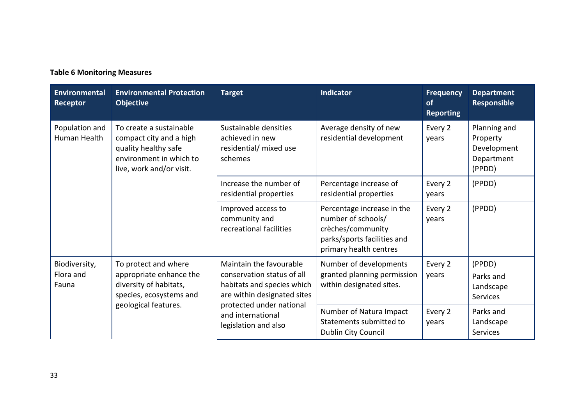## **Table 6 Monitoring Measures**

| <b>Environmental</b><br>Receptor                                                                                                                                    | <b>Environmental Protection</b><br><b>Objective</b>                                                                          | <b>Target</b>                                                                                                                                                                               | <b>Indicator</b>                                                                                                               | <b>Frequency</b><br><b>of</b><br><b>Reporting</b> | <b>Department</b><br><b>Responsible</b>                         |
|---------------------------------------------------------------------------------------------------------------------------------------------------------------------|------------------------------------------------------------------------------------------------------------------------------|---------------------------------------------------------------------------------------------------------------------------------------------------------------------------------------------|--------------------------------------------------------------------------------------------------------------------------------|---------------------------------------------------|-----------------------------------------------------------------|
| Population and<br>To create a sustainable<br>Human Health<br>compact city and a high<br>quality healthy safe<br>environment in which to<br>live, work and/or visit. |                                                                                                                              | Sustainable densities<br>achieved in new<br>residential/ mixed use<br>schemes                                                                                                               | Average density of new<br>residential development                                                                              | Every 2<br>years                                  | Planning and<br>Property<br>Development<br>Department<br>(PPDD) |
|                                                                                                                                                                     |                                                                                                                              | Increase the number of<br>residential properties                                                                                                                                            | Percentage increase of<br>residential properties                                                                               | Every 2<br>years                                  | (PPDD)                                                          |
|                                                                                                                                                                     |                                                                                                                              | Improved access to<br>community and<br>recreational facilities                                                                                                                              | Percentage increase in the<br>number of schools/<br>crèches/community<br>parks/sports facilities and<br>primary health centres | Every 2<br>years                                  | (PPDD)                                                          |
| Biodiversity,<br>Flora and<br>Fauna                                                                                                                                 | To protect and where<br>appropriate enhance the<br>diversity of habitats,<br>species, ecosystems and<br>geological features. | Maintain the favourable<br>conservation status of all<br>habitats and species which<br>are within designated sites<br>protected under national<br>and international<br>legislation and also | Number of developments<br>granted planning permission<br>within designated sites.                                              | Every 2<br>years                                  | (PPDD)<br>Parks and<br>Landscape<br><b>Services</b>             |
|                                                                                                                                                                     |                                                                                                                              |                                                                                                                                                                                             | Number of Natura Impact<br>Statements submitted to<br>Dublin City Council                                                      | Every 2<br>years                                  | Parks and<br>Landscape<br><b>Services</b>                       |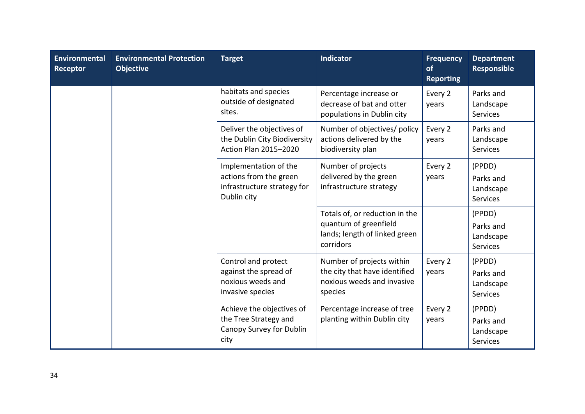| <b>Environmental</b><br><b>Receptor</b> | <b>Environmental Protection</b><br><b>Objective</b> | <b>Target</b>                                                                                 | <b>Indicator</b>                                                                                      | <b>Frequency</b><br>of<br><b>Reporting</b> | <b>Department</b><br><b>Responsible</b>             |
|-----------------------------------------|-----------------------------------------------------|-----------------------------------------------------------------------------------------------|-------------------------------------------------------------------------------------------------------|--------------------------------------------|-----------------------------------------------------|
|                                         |                                                     | habitats and species<br>outside of designated<br>sites.                                       | Percentage increase or<br>decrease of bat and otter<br>populations in Dublin city                     | Every 2<br>years                           | Parks and<br>Landscape<br>Services                  |
|                                         |                                                     | Deliver the objectives of<br>the Dublin City Biodiversity<br>Action Plan 2015-2020            | Number of objectives/ policy<br>actions delivered by the<br>biodiversity plan                         | Every 2<br>years                           | Parks and<br>Landscape<br>Services                  |
|                                         |                                                     | Implementation of the<br>actions from the green<br>infrastructure strategy for<br>Dublin city | Number of projects<br>delivered by the green<br>infrastructure strategy                               | Every 2<br>years                           | (PPDD)<br>Parks and<br>Landscape<br>Services        |
|                                         |                                                     |                                                                                               | Totals of, or reduction in the<br>quantum of greenfield<br>lands; length of linked green<br>corridors |                                            | (PPDD)<br>Parks and<br>Landscape<br>Services        |
|                                         |                                                     | Control and protect<br>against the spread of<br>noxious weeds and<br>invasive species         | Number of projects within<br>the city that have identified<br>noxious weeds and invasive<br>species   | Every 2<br>years                           | (PPDD)<br>Parks and<br>Landscape<br><b>Services</b> |
|                                         |                                                     | Achieve the objectives of<br>the Tree Strategy and<br>Canopy Survey for Dublin<br>city        | Percentage increase of tree<br>planting within Dublin city                                            | Every 2<br>years                           | (PPDD)<br>Parks and<br>Landscape<br><b>Services</b> |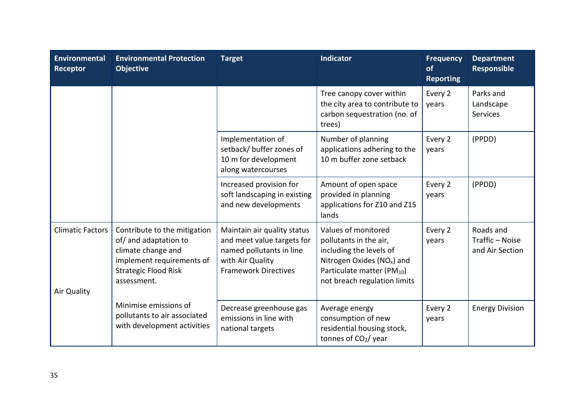| Environmental<br>Receptor              | <b>Environmental Protection</b><br><b>Objective</b>                                                                                                    | <b>Target</b>                                                                                                                            | <b>Indicator</b>                                                                                                                                                                             | <b>Frequency</b><br>of<br><b>Reporting</b> | <b>Department</b><br><b>Responsible</b>         |
|----------------------------------------|--------------------------------------------------------------------------------------------------------------------------------------------------------|------------------------------------------------------------------------------------------------------------------------------------------|----------------------------------------------------------------------------------------------------------------------------------------------------------------------------------------------|--------------------------------------------|-------------------------------------------------|
|                                        |                                                                                                                                                        |                                                                                                                                          | Tree canopy cover within<br>the city area to contribute to<br>carbon sequestration (no. of<br>trees)                                                                                         | Every 2<br>years                           | Parks and<br>Landscape<br><b>Services</b>       |
|                                        |                                                                                                                                                        | Implementation of<br>setback/ buffer zones of<br>10 m for development<br>along watercourses                                              | Number of planning<br>applications adhering to the<br>10 m buffer zone setback                                                                                                               | Every 2<br>years                           | (PPDD)                                          |
|                                        |                                                                                                                                                        | Increased provision for<br>soft landscaping in existing<br>and new developments                                                          | Amount of open space<br>provided in planning<br>applications for Z10 and Z15<br>lands                                                                                                        | Every 2<br>years                           | (PPDD)                                          |
| <b>Climatic Factors</b><br>Air Quality | Contribute to the mitigation<br>of/ and adaptation to<br>climate change and<br>implement requirements of<br><b>Strategic Flood Risk</b><br>assessment. | Maintain air quality status<br>and meet value targets for<br>named pollutants in line<br>with Air Quality<br><b>Framework Directives</b> | Values of monitored<br>pollutants in the air,<br>including the levels of<br>Nitrogen Oxides (NO <sub>x</sub> ) and<br>Particulate matter (PM <sub>10</sub> )<br>not breach regulation limits | Every 2<br>years                           | Roads and<br>Traffic - Noise<br>and Air Section |
|                                        | Minimise emissions of<br>pollutants to air associated<br>with development activities                                                                   | Decrease greenhouse gas<br>emissions in line with<br>national targets                                                                    | Average energy<br>consumption of new<br>residential housing stock,<br>tonnes of CO <sub>2</sub> / year                                                                                       | Every 2<br>years                           | <b>Energy Division</b>                          |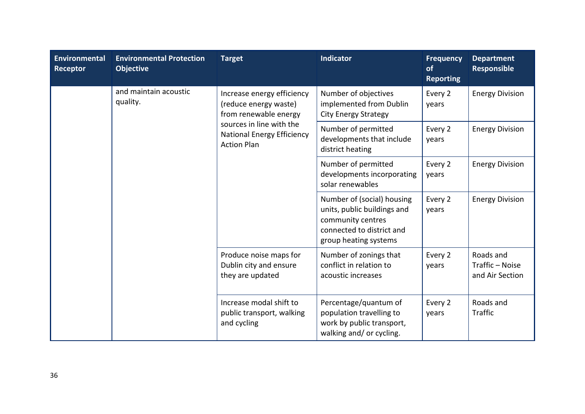| <b>Environmental</b><br><b>Receptor</b> | <b>Environmental Protection</b><br><b>Objective</b> | <b>Target</b>                                                                                                                                                       | <b>Indicator</b>                                                                                                                     | <b>Frequency</b><br>of<br><b>Reporting</b> | <b>Department</b><br><b>Responsible</b>         |
|-----------------------------------------|-----------------------------------------------------|---------------------------------------------------------------------------------------------------------------------------------------------------------------------|--------------------------------------------------------------------------------------------------------------------------------------|--------------------------------------------|-------------------------------------------------|
|                                         | and maintain acoustic<br>quality.                   | Increase energy efficiency<br>(reduce energy waste)<br>from renewable energy<br>sources in line with the<br><b>National Energy Efficiency</b><br><b>Action Plan</b> | Number of objectives<br>implemented from Dublin<br><b>City Energy Strategy</b>                                                       | Every 2<br>years                           | <b>Energy Division</b>                          |
|                                         |                                                     |                                                                                                                                                                     | Number of permitted<br>developments that include<br>district heating                                                                 | Every 2<br>years                           | <b>Energy Division</b>                          |
|                                         |                                                     |                                                                                                                                                                     | Number of permitted<br>developments incorporating<br>solar renewables                                                                | Every 2<br>years                           | <b>Energy Division</b>                          |
|                                         |                                                     |                                                                                                                                                                     | Number of (social) housing<br>units, public buildings and<br>community centres<br>connected to district and<br>group heating systems | Every 2<br>years                           | <b>Energy Division</b>                          |
|                                         |                                                     | Produce noise maps for<br>Dublin city and ensure<br>they are updated                                                                                                | Number of zonings that<br>conflict in relation to<br>acoustic increases                                                              | Every 2<br>years                           | Roads and<br>Traffic - Noise<br>and Air Section |
|                                         |                                                     | Increase modal shift to<br>public transport, walking<br>and cycling                                                                                                 | Percentage/quantum of<br>population travelling to<br>work by public transport,<br>walking and/ or cycling.                           | Every 2<br>years                           | Roads and<br>Traffic                            |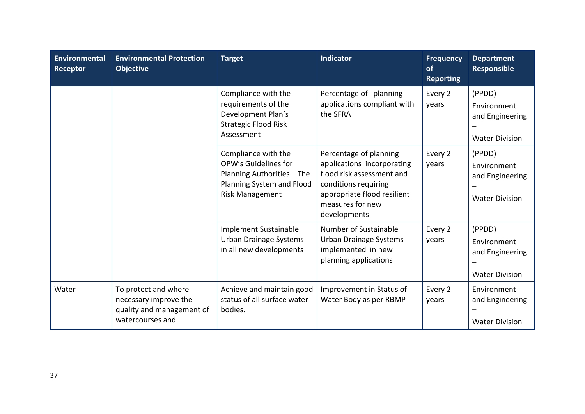| <b>Environmental</b><br><b>Receptor</b> | <b>Environmental Protection</b><br><b>Objective</b>                                            | <b>Target</b>                                                                                                             | Indicator                                                                                                                                                                    | <b>Frequency</b><br>of<br><b>Reporting</b> | <b>Department</b><br>Responsible                                  |
|-----------------------------------------|------------------------------------------------------------------------------------------------|---------------------------------------------------------------------------------------------------------------------------|------------------------------------------------------------------------------------------------------------------------------------------------------------------------------|--------------------------------------------|-------------------------------------------------------------------|
|                                         |                                                                                                | Compliance with the<br>requirements of the<br>Development Plan's<br><b>Strategic Flood Risk</b><br>Assessment             | Percentage of planning<br>applications compliant with<br>the SFRA                                                                                                            | Every 2<br>years                           | (PPDD)<br>Environment<br>and Engineering<br><b>Water Division</b> |
|                                         |                                                                                                | Compliance with the<br>OPW's Guidelines for<br>Planning Authorities - The<br>Planning System and Flood<br>Risk Management | Percentage of planning<br>applications incorporating<br>flood risk assessment and<br>conditions requiring<br>appropriate flood resilient<br>measures for new<br>developments | Every 2<br>years                           | (PPDD)<br>Environment<br>and Engineering<br><b>Water Division</b> |
|                                         |                                                                                                | Implement Sustainable<br>Urban Drainage Systems<br>in all new developments                                                | Number of Sustainable<br><b>Urban Drainage Systems</b><br>implemented in new<br>planning applications                                                                        | Every 2<br>years                           | (PPDD)<br>Environment<br>and Engineering<br><b>Water Division</b> |
| Water                                   | To protect and where<br>necessary improve the<br>quality and management of<br>watercourses and | Achieve and maintain good<br>status of all surface water<br>bodies.                                                       | Improvement in Status of<br>Water Body as per RBMP                                                                                                                           | Every 2<br>years                           | Environment<br>and Engineering<br><b>Water Division</b>           |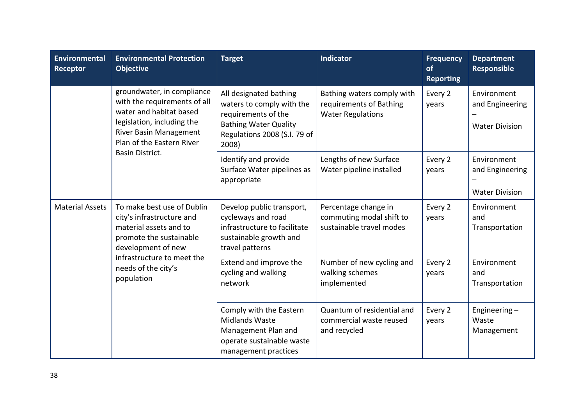| <b>Environmental</b><br>Receptor     | <b>Environmental Protection</b><br><b>Objective</b>                                                                                                                        | <b>Target</b>                                                                                                                                       | <b>Indicator</b>                                                                  | <b>Frequency</b><br><b>of</b><br><b>Reporting</b> | <b>Department</b><br><b>Responsible</b>                 |
|--------------------------------------|----------------------------------------------------------------------------------------------------------------------------------------------------------------------------|-----------------------------------------------------------------------------------------------------------------------------------------------------|-----------------------------------------------------------------------------------|---------------------------------------------------|---------------------------------------------------------|
|                                      | groundwater, in compliance<br>with the requirements of all<br>water and habitat based<br>legislation, including the<br>River Basin Management<br>Plan of the Eastern River | All designated bathing<br>waters to comply with the<br>requirements of the<br><b>Bathing Water Quality</b><br>Regulations 2008 (S.I. 79 of<br>2008) | Bathing waters comply with<br>requirements of Bathing<br><b>Water Regulations</b> | Every 2<br>years                                  | Environment<br>and Engineering<br><b>Water Division</b> |
|                                      | Basin District.                                                                                                                                                            | Identify and provide<br>Surface Water pipelines as<br>appropriate                                                                                   | Lengths of new Surface<br>Water pipeline installed                                | Every 2<br>years                                  | Environment<br>and Engineering<br><b>Water Division</b> |
| <b>Material Assets</b><br>population | To make best use of Dublin<br>city's infrastructure and<br>material assets and to<br>promote the sustainable<br>development of new                                         | Develop public transport,<br>cycleways and road<br>infrastructure to facilitate<br>sustainable growth and<br>travel patterns                        | Percentage change in<br>commuting modal shift to<br>sustainable travel modes      | Every 2<br>years                                  | Environment<br>and<br>Transportation                    |
|                                      | infrastructure to meet the<br>needs of the city's                                                                                                                          | Extend and improve the<br>cycling and walking<br>network                                                                                            | Number of new cycling and<br>walking schemes<br>implemented                       | Every 2<br>years                                  | Environment<br>and<br>Transportation                    |
|                                      |                                                                                                                                                                            | Comply with the Eastern<br><b>Midlands Waste</b><br>Management Plan and<br>operate sustainable waste<br>management practices                        | Quantum of residential and<br>commercial waste reused<br>and recycled             | Every 2<br>years                                  | Engineering $-$<br>Waste<br>Management                  |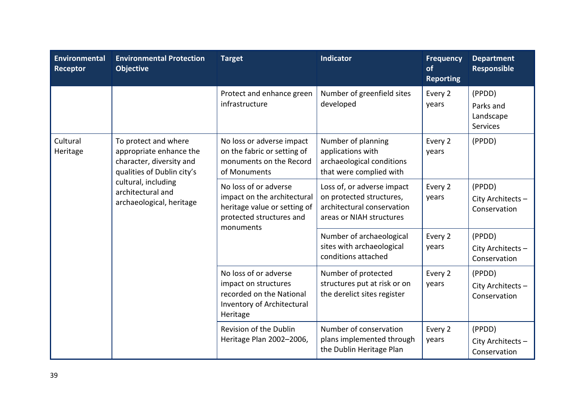| Environmental<br>Receptor                                            | <b>Environmental Protection</b><br><b>Objective</b>                                                                           | <b>Target</b>                                                                                                    | <b>Indicator</b>                                                                                | <b>Frequency</b><br>of<br><b>Reporting</b>  | <b>Department</b><br><b>Responsible</b>             |
|----------------------------------------------------------------------|-------------------------------------------------------------------------------------------------------------------------------|------------------------------------------------------------------------------------------------------------------|-------------------------------------------------------------------------------------------------|---------------------------------------------|-----------------------------------------------------|
|                                                                      |                                                                                                                               | Protect and enhance green<br>infrastructure                                                                      | Number of greenfield sites<br>developed                                                         | Every 2<br>years                            | (PPDD)<br>Parks and<br>Landscape<br><b>Services</b> |
| Cultural<br>Heritage                                                 | To protect and where<br>appropriate enhance the<br>character, diversity and<br>qualities of Dublin city's                     | No loss or adverse impact<br>on the fabric or setting of<br>monuments on the Record<br>of Monuments              | Number of planning<br>applications with<br>archaeological conditions<br>that were complied with | Every 2<br>years                            | (PPDD)                                              |
| cultural, including<br>architectural and<br>archaeological, heritage | No loss of or adverse<br>impact on the architectural<br>heritage value or setting of<br>protected structures and<br>monuments | Loss of, or adverse impact<br>on protected structures,<br>architectural conservation<br>areas or NIAH structures | Every 2<br>years                                                                                | (PPDD)<br>City Architects -<br>Conservation |                                                     |
|                                                                      |                                                                                                                               | Number of archaeological<br>sites with archaeological<br>conditions attached                                     | Every 2<br>years                                                                                | (PPDD)<br>City Architects -<br>Conservation |                                                     |
|                                                                      | No loss of or adverse<br>impact on structures<br>recorded on the National<br>Inventory of Architectural<br>Heritage           | Number of protected<br>structures put at risk or on<br>the derelict sites register                               | Every 2<br>years                                                                                | (PPDD)<br>City Architects -<br>Conservation |                                                     |
|                                                                      |                                                                                                                               | Revision of the Dublin<br>Heritage Plan 2002-2006,                                                               | Number of conservation<br>plans implemented through<br>the Dublin Heritage Plan                 | Every 2<br>years                            | (PPDD)<br>City Architects -<br>Conservation         |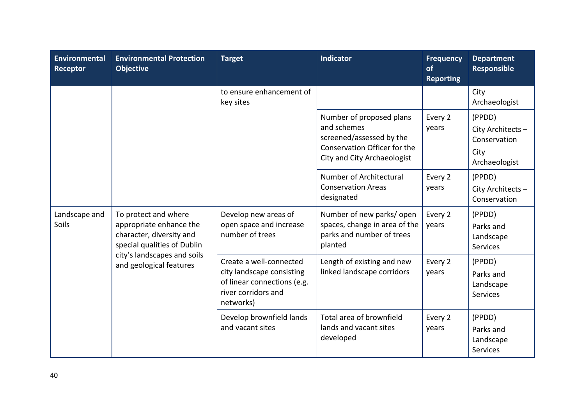| Environmental<br>Receptor | <b>Environmental Protection</b><br><b>Objective</b>                                                                                                                  | <b>Target</b>                                                                                                           | <b>Indicator</b>                                                                                                                   | <b>Frequency</b><br>of<br><b>Reporting</b> | <b>Department</b><br><b>Responsible</b>                              |
|---------------------------|----------------------------------------------------------------------------------------------------------------------------------------------------------------------|-------------------------------------------------------------------------------------------------------------------------|------------------------------------------------------------------------------------------------------------------------------------|--------------------------------------------|----------------------------------------------------------------------|
|                           |                                                                                                                                                                      | to ensure enhancement of<br>key sites                                                                                   |                                                                                                                                    |                                            | City<br>Archaeologist                                                |
|                           |                                                                                                                                                                      |                                                                                                                         | Number of proposed plans<br>and schemes<br>screened/assessed by the<br>Conservation Officer for the<br>City and City Archaeologist | Every 2<br>years                           | (PPDD)<br>City Architects -<br>Conservation<br>City<br>Archaeologist |
|                           |                                                                                                                                                                      |                                                                                                                         | Number of Architectural<br><b>Conservation Areas</b><br>designated                                                                 | Every 2<br>years                           | (PPDD)<br>City Architects -<br>Conservation                          |
| Landscape and<br>Soils    | To protect and where<br>appropriate enhance the<br>character, diversity and<br>special qualities of Dublin<br>city's landscapes and soils<br>and geological features | Develop new areas of<br>open space and increase<br>number of trees                                                      | Number of new parks/open<br>spaces, change in area of the<br>parks and number of trees<br>planted                                  | Every 2<br>years                           | (PPDD)<br>Parks and<br>Landscape<br>Services                         |
|                           |                                                                                                                                                                      | Create a well-connected<br>city landscape consisting<br>of linear connections (e.g.<br>river corridors and<br>networks) | Length of existing and new<br>linked landscape corridors                                                                           | Every 2<br>years                           | (PPDD)<br>Parks and<br>Landscape<br><b>Services</b>                  |
|                           |                                                                                                                                                                      | Develop brownfield lands<br>and vacant sites                                                                            | Total area of brownfield<br>lands and vacant sites<br>developed                                                                    | Every 2<br>years                           | (PPDD)<br>Parks and<br>Landscape<br><b>Services</b>                  |